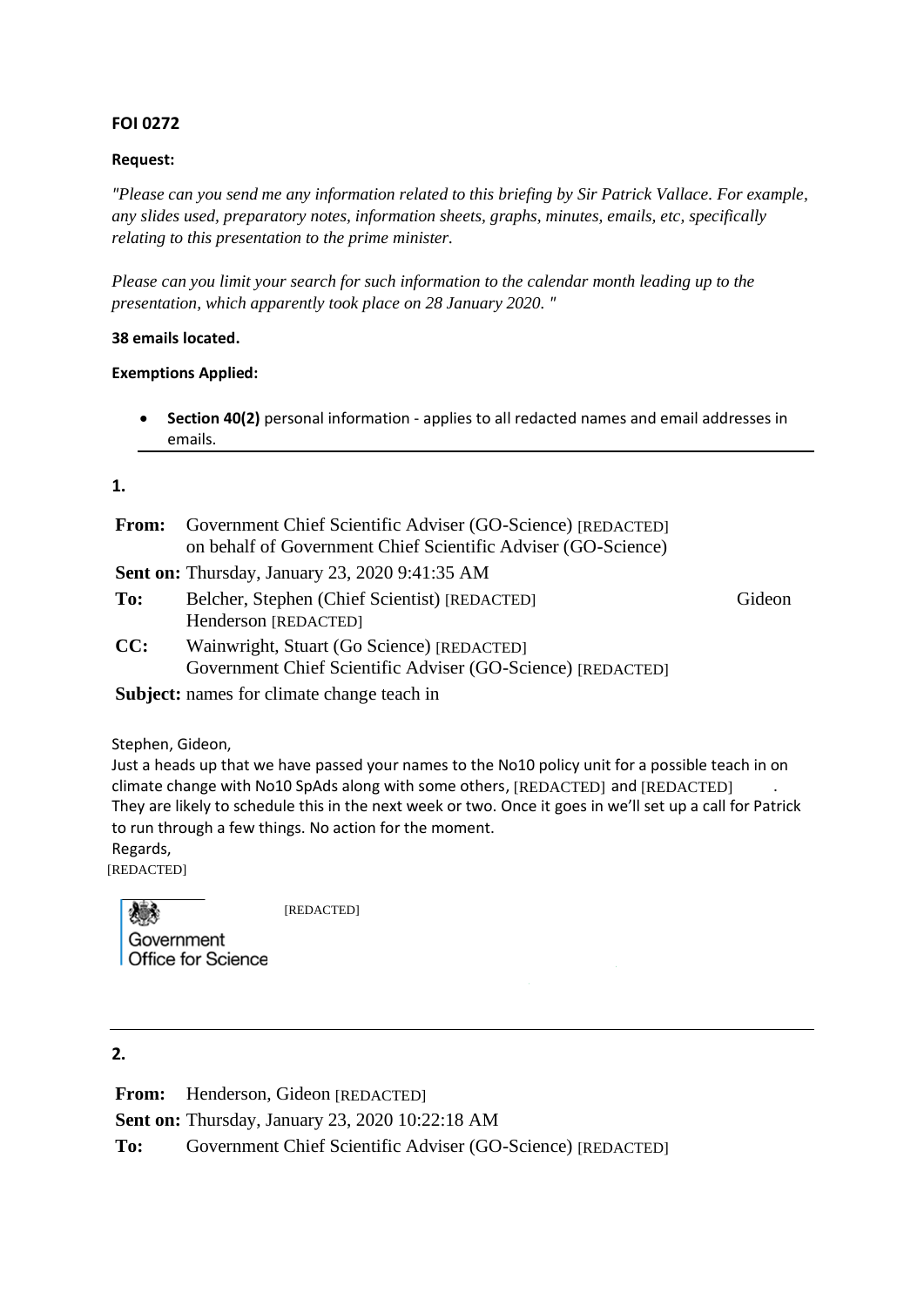### **FOI 0272**

#### **Request:**

*"Please can you send me any information related to this briefing by Sir Patrick Vallace. For example, any slides used, preparatory notes, information sheets, graphs, minutes, emails, etc, specifically relating to this presentation to the prime minister.*

*Please can you limit your search for such information to the calendar month leading up to the presentation, which apparently took place on 28 January 2020. "*

#### **38 emails located.**

#### **Exemptions Applied:**

• **Section 40(2)** personal information - applies to all redacted names and email addresses in emails.

#### **1.**

**From:** Government Chief Scientific Adviser (GO-Science) [REDACTED] on behalf of Government Chief Scientific Adviser (GO-Science) **Sent on:** Thursday, January 23, 2020 9:41:35 AM To: Belcher, Stephen (Chief Scientist) [REDACTED] Gideon Henderson [REDACTED]

**CC:** Wainwright, Stuart (Go Science) [REDACTED] Government Chief Scientific Adviser (GO-Science) [REDACTED]

**Subject:** names for climate change teach in

Stephen, Gideon,

Just a heads up that we have passed your names to the No10 policy unit for a possible teach in on climate change with No10 SpAds along with some others,  $[REDACTED]$  and  $[REDACTED]$  . They are likely to schedule this in the next week or two. Once it goes in we'll set up a call for Patrick to run through a few things. No action for the moment.

Regards,

[REDACTED]

[REDACTED] Government **Office for Science** 

**2.**

**From:** Henderson, Gideon [REDACTED] **Sent on:** Thursday, January 23, 2020 10:22:18 AM To: Government Chief Scientific Adviser (GO-Science) [REDACTED]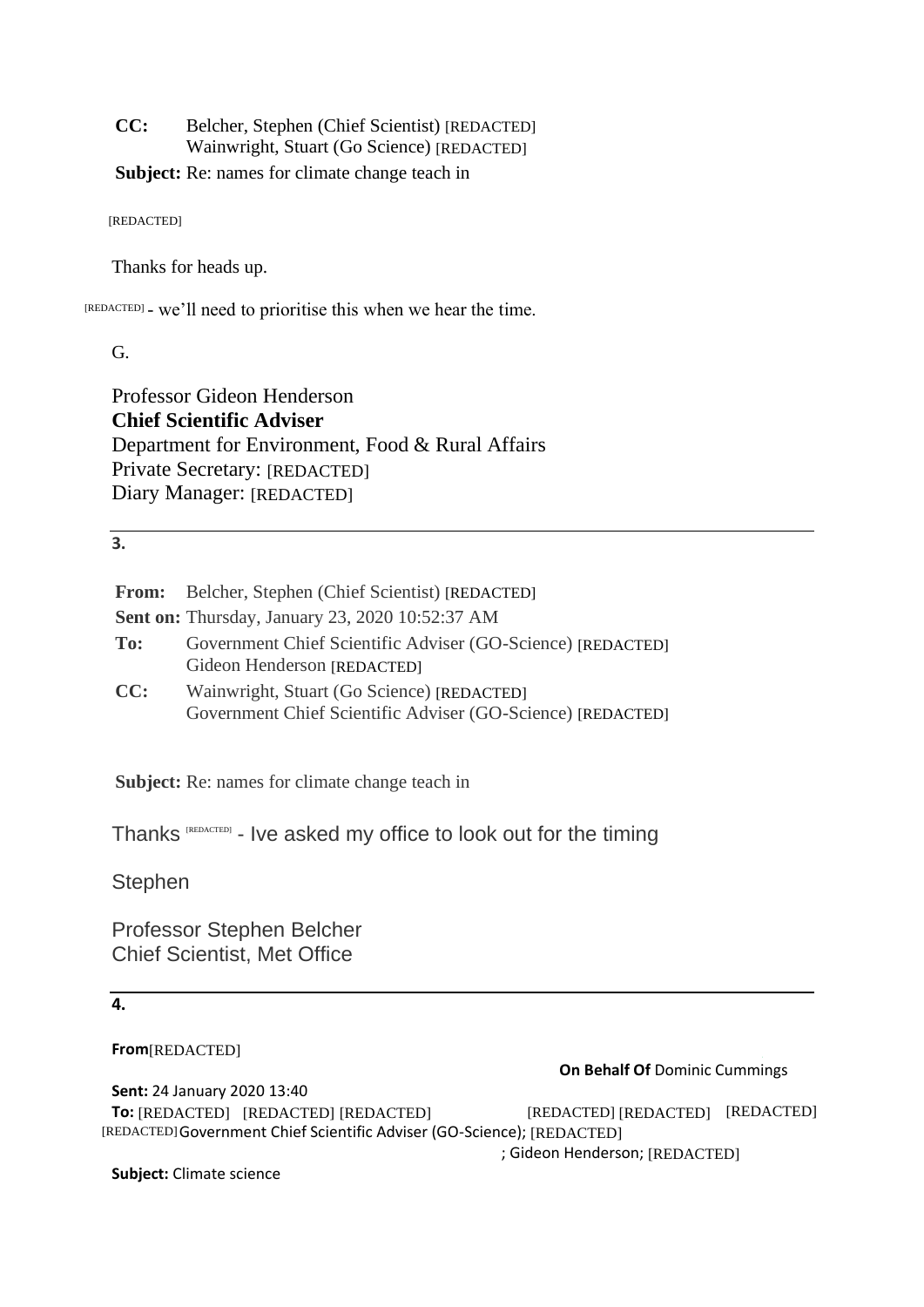**CC:** Belcher, Stephen (Chief Scientist) [REDACTED] Wainwright, Stuart (Go Science) [REDACTED]

**Subject:** Re: names for climate change teach in

[REDACTED]

Thanks for heads up.

[REDACTED] - we'll need to prioritise this when we hear the time.

G.

Professor Gideon Henderson **Chief Scientific Adviser** Department for Environment, Food & Rural Affairs Private Secretary: [REDACTED] Diary Manager: [REDACTED]

**3.**

|     | <b>From:</b> Belcher, Stephen (Chief Scientist) [REDACTED]                                                |  |  |
|-----|-----------------------------------------------------------------------------------------------------------|--|--|
|     | <b>Sent on:</b> Thursday, January 23, 2020 10:52:37 AM                                                    |  |  |
| To: | Government Chief Scientific Adviser (GO-Science) [REDACTED]<br>Gideon Henderson [REDACTED]                |  |  |
| CC: | Wainwright, Stuart (Go Science) [REDACTED]<br>Government Chief Scientific Adviser (GO-Science) [REDACTED] |  |  |

**Subject:** Re: names for climate change teach in

Thanks REEDACTED] - Ive asked my office to look out for the timing

**Stephen** 

Professor Stephen Belcher Chief Scientist, Met Office

### **4.**

**From** [REDACTED]

|                                                                         | <b>On Behalf Of Dominic Cummings</b> |  |
|-------------------------------------------------------------------------|--------------------------------------|--|
| <b>Sent: 24 January 2020 13:40</b>                                      |                                      |  |
| <b>To:</b> [REDACTED] [REDACTED] [REDACTED]                             | [REDACTED] [REDACTED] [REDACTED]     |  |
| [REDACTED] Government Chief Scientific Adviser (GO-Science); [REDACTED] |                                      |  |
|                                                                         | ; Gideon Henderson; [REDACTED]       |  |
|                                                                         |                                      |  |

**Subject:** Climate science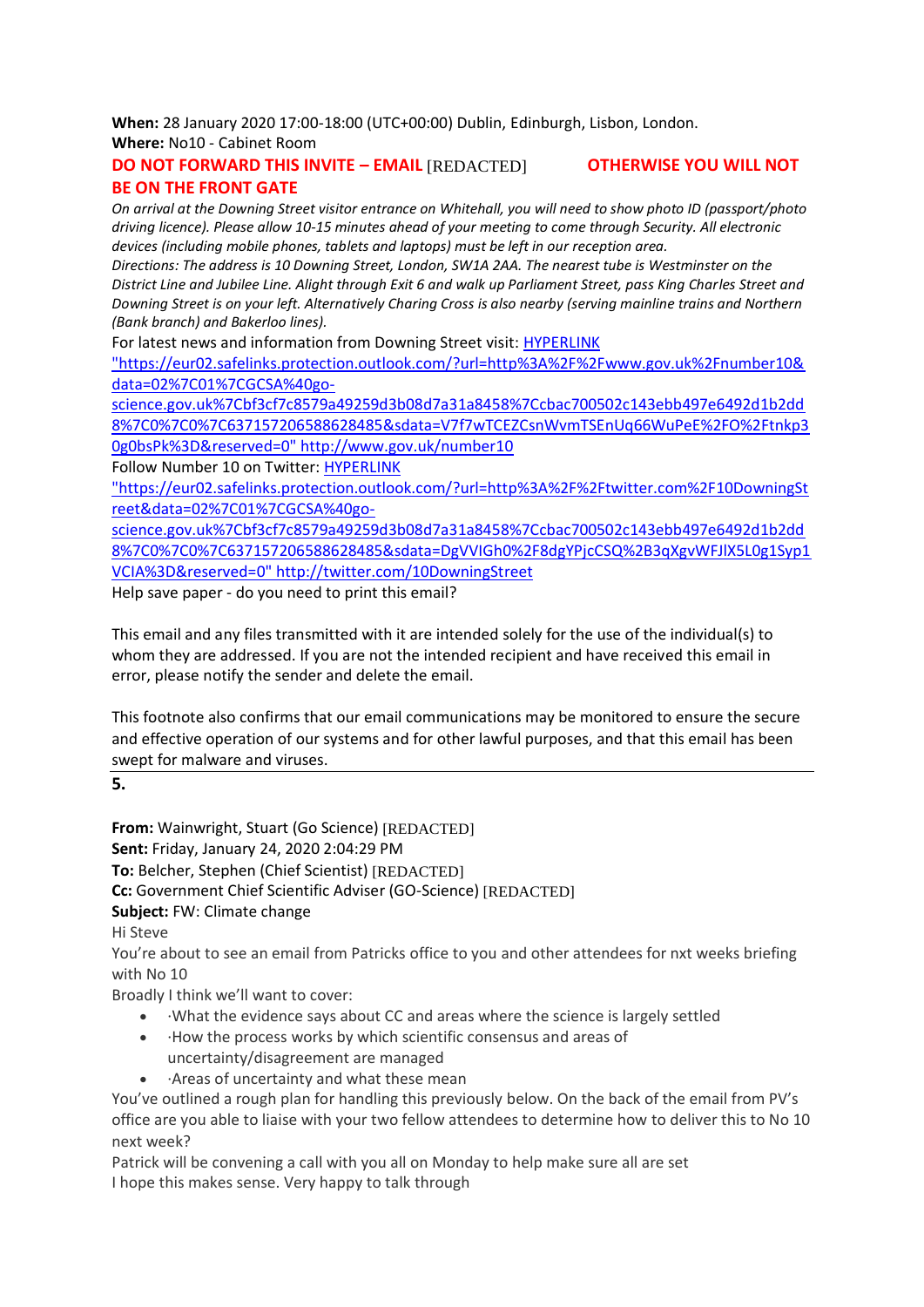**When:** 28 January 2020 17:00-18:00 (UTC+00:00) Dublin, Edinburgh, Lisbon, London. **Where:** No10 - Cabinet Room

#### **DO NOT FORWARD THIS INVITE – EMAIL** [REDACTED] **OTHERWISE YOU WILL NOT BE ON THE FRONT GATE**

*On arrival at the Downing Street visitor entrance on Whitehall, you will need to show photo ID (passport/photo driving licence). Please allow 10-15 minutes ahead of your meeting to come through Security. All electronic devices (including mobile phones, tablets and laptops) must be left in our reception area.*

*Directions: The address is 10 Downing Street, London, SW1A 2AA. The nearest tube is Westminster on the District Line and Jubilee Line. Alight through Exit 6 and walk up Parliament Street, pass King Charles Street and Downing Street is on your left. Alternatively Charing Cross is also nearby (serving mainline trains and Northern (Bank branch) and Bakerloo lines).*

For latest news and information from Downing Street visit: HYPERLINK

"https://eur02.safelinks.protection.outlook.com/?url=http%3A%2F%2Fwww.gov.uk%2Fnumber10& data=02%7C01%7CGCSA%40go-

science.gov.uk%7Cbf3cf7c8579a49259d3b08d7a31a8458%7Ccbac700502c143ebb497e6492d1b2dd 8%7C0%7C0%7C637157206588628485&sdata=V7f7wTCEZCsnWvmTSEnUq66WuPeE%2FO%2Ftnkp3 0g0bsPk%3D&reserved=0" http://www.gov.uk/number10

Follow Number 10 on Twitter: HYPERLINK

"https://eur02.safelinks.protection.outlook.com/?url=http%3A%2F%2Ftwitter.com%2F10DowningSt reet&data=02%7C01%7CGCSA%40go-

science.gov.uk%7Cbf3cf7c8579a49259d3b08d7a31a8458%7Ccbac700502c143ebb497e6492d1b2dd 8%7C0%7C0%7C637157206588628485&sdata=DgVVIGh0%2F8dgYPjcCSQ%2B3qXgvWFJlX5L0g1Syp1 VCIA%3D&reserved=0" http://twitter.com/10DowningStreet

Help save paper - do you need to print this email?

This email and any files transmitted with it are intended solely for the use of the individual(s) to whom they are addressed. If you are not the intended recipient and have received this email in error, please notify the sender and delete the email.

This footnote also confirms that our email communications may be monitored to ensure the secure and effective operation of our systems and for other lawful purposes, and that this email has been swept for malware and viruses.

**5.** 

**From:** Wainwright, Stuart (Go Science) [REDACTED] **Sent:** Friday, January 24, 2020 2:04:29 PM **To:** Belcher, Stephen (Chief Scientist) [REDACTED] **Cc:** Government Chief Scientific Adviser (GO-Science) [REDACTED]**Subject:** FW: Climate change Hi Steve

You're about to see an email from Patricks office to you and other attendees for nxt weeks briefing with No 10

Broadly I think we'll want to cover:

- ·What the evidence says about CC and areas where the science is largely settled
- ·How the process works by which scientific consensus and areas of uncertainty/disagreement are managed
- ·Areas of uncertainty and what these mean

You've outlined a rough plan for handling this previously below. On the back of the email from PV's office are you able to liaise with your two fellow attendees to determine how to deliver this to No 10 next week?

Patrick will be convening a call with you all on Monday to help make sure all are set I hope this makes sense. Very happy to talk through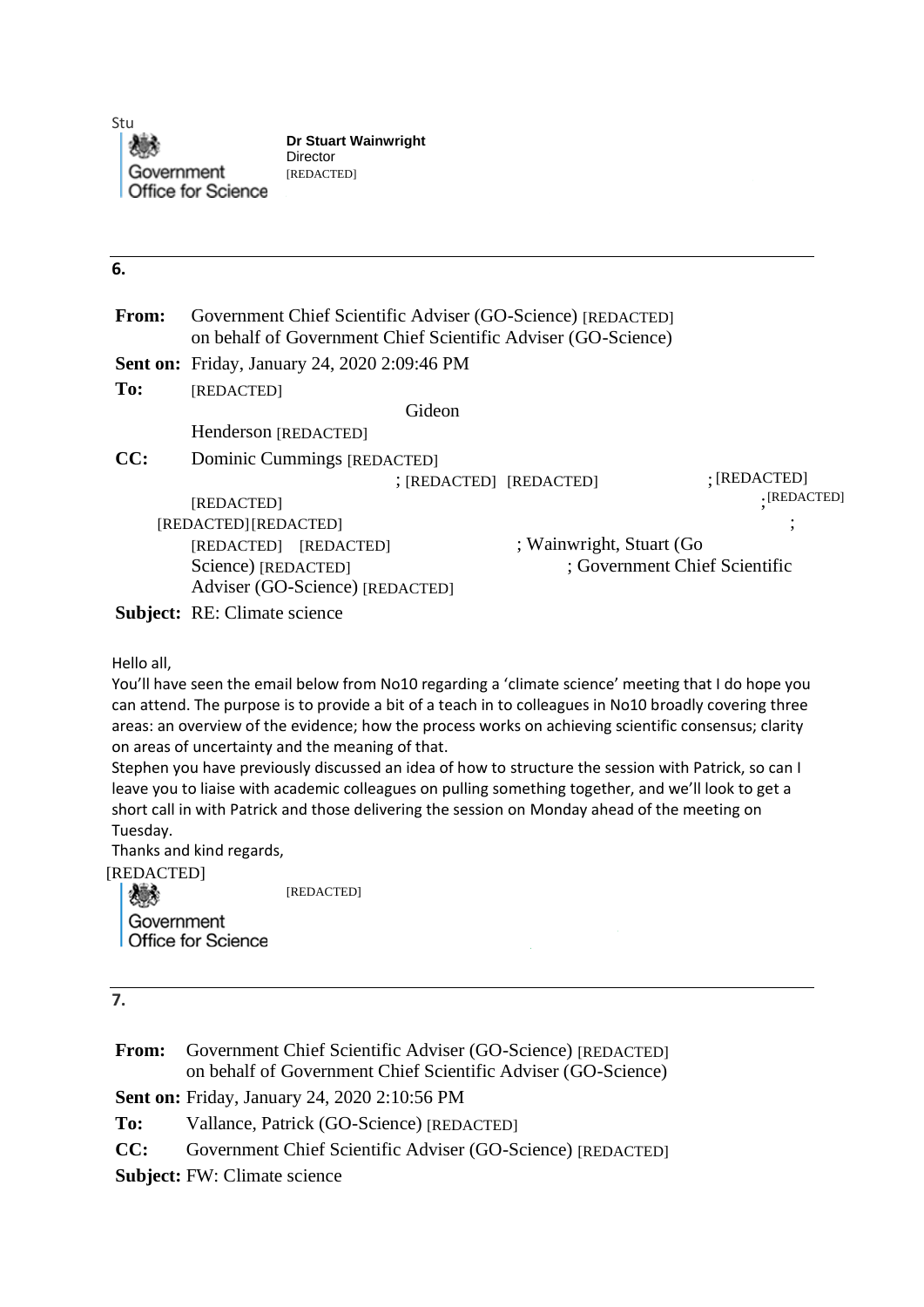Stu Government **Office for Science** 

**Dr Stuart Wainwright** Director [REDACTED]

### **6.**

| From:                                      | Government Chief Scientific Adviser (GO-Science) [REDACTED]<br>on behalf of Government Chief Scientific Adviser (GO-Science)                                                                                                                                                                                                                                                                                                                                                                                                                                                                                                                              |  |  |
|--------------------------------------------|-----------------------------------------------------------------------------------------------------------------------------------------------------------------------------------------------------------------------------------------------------------------------------------------------------------------------------------------------------------------------------------------------------------------------------------------------------------------------------------------------------------------------------------------------------------------------------------------------------------------------------------------------------------|--|--|
|                                            | <b>Sent on: Friday, January 24, 2020 2:09:46 PM</b>                                                                                                                                                                                                                                                                                                                                                                                                                                                                                                                                                                                                       |  |  |
| To:                                        | [REDACTED]                                                                                                                                                                                                                                                                                                                                                                                                                                                                                                                                                                                                                                                |  |  |
|                                            | Gideon                                                                                                                                                                                                                                                                                                                                                                                                                                                                                                                                                                                                                                                    |  |  |
|                                            | Henderson [REDACTED]                                                                                                                                                                                                                                                                                                                                                                                                                                                                                                                                                                                                                                      |  |  |
| CC:                                        | Dominic Cummings [REDACTED]                                                                                                                                                                                                                                                                                                                                                                                                                                                                                                                                                                                                                               |  |  |
|                                            | $:$ [REDACTED]<br>; [REDACTED] [REDACTED]                                                                                                                                                                                                                                                                                                                                                                                                                                                                                                                                                                                                                 |  |  |
|                                            | ·[REDACTED]<br>[REDACTED]                                                                                                                                                                                                                                                                                                                                                                                                                                                                                                                                                                                                                                 |  |  |
|                                            | [REDACTED] [REDACTED]                                                                                                                                                                                                                                                                                                                                                                                                                                                                                                                                                                                                                                     |  |  |
|                                            | ; Wainwright, Stuart (Go<br>[REDACTED] [REDACTED]                                                                                                                                                                                                                                                                                                                                                                                                                                                                                                                                                                                                         |  |  |
|                                            | ; Government Chief Scientific<br>Science) [REDACTED]                                                                                                                                                                                                                                                                                                                                                                                                                                                                                                                                                                                                      |  |  |
|                                            | Adviser (GO-Science) [REDACTED]                                                                                                                                                                                                                                                                                                                                                                                                                                                                                                                                                                                                                           |  |  |
|                                            | <b>Subject:</b> RE: Climate science                                                                                                                                                                                                                                                                                                                                                                                                                                                                                                                                                                                                                       |  |  |
| Tuesday.<br><b>REDACTED]</b><br>Government | can attend. The purpose is to provide a bit of a teach in to colleagues in No10 broadly covering three<br>areas: an overview of the evidence; how the process works on achieving scientific consensus; clarity<br>on areas of uncertainty and the meaning of that.<br>Stephen you have previously discussed an idea of how to structure the session with Patrick, so can I<br>leave you to liaise with academic colleagues on pulling something together, and we'll look to get a<br>short call in with Patrick and those delivering the session on Monday ahead of the meeting on<br>Thanks and kind regards,<br>[REDACTED]<br><b>Office for Science</b> |  |  |
| 7.<br>From:                                | Government Chief Scientific Adviser (GO-Science) [REDACTED]<br>on behalf of Government Chief Scientific Adviser (GO-Science)                                                                                                                                                                                                                                                                                                                                                                                                                                                                                                                              |  |  |
|                                            | <b>Sent on: Friday, January 24, 2020 2:10:56 PM</b>                                                                                                                                                                                                                                                                                                                                                                                                                                                                                                                                                                                                       |  |  |
| To:                                        | Vallance, Patrick (GO-Science) [REDACTED]                                                                                                                                                                                                                                                                                                                                                                                                                                                                                                                                                                                                                 |  |  |
| CC:                                        | Government Chief Scientific Adviser (GO-Science) [REDACTED]                                                                                                                                                                                                                                                                                                                                                                                                                                                                                                                                                                                               |  |  |

[REDACTED]

**7.**

**From:** Government Chief Scientific Adviser (GO-Science) [REDACTED] on behalf of Government Chief Scientific Adviser (GO-Science) **Sent on:** Friday, January 24, 2020 2:10:56 PM **To:** Vallance, Patrick (GO-Science) [REDACTED] **CC:** Government Chief Scientific Adviser (GO-Science) [REDACTED]

**Subject:** FW: Climate science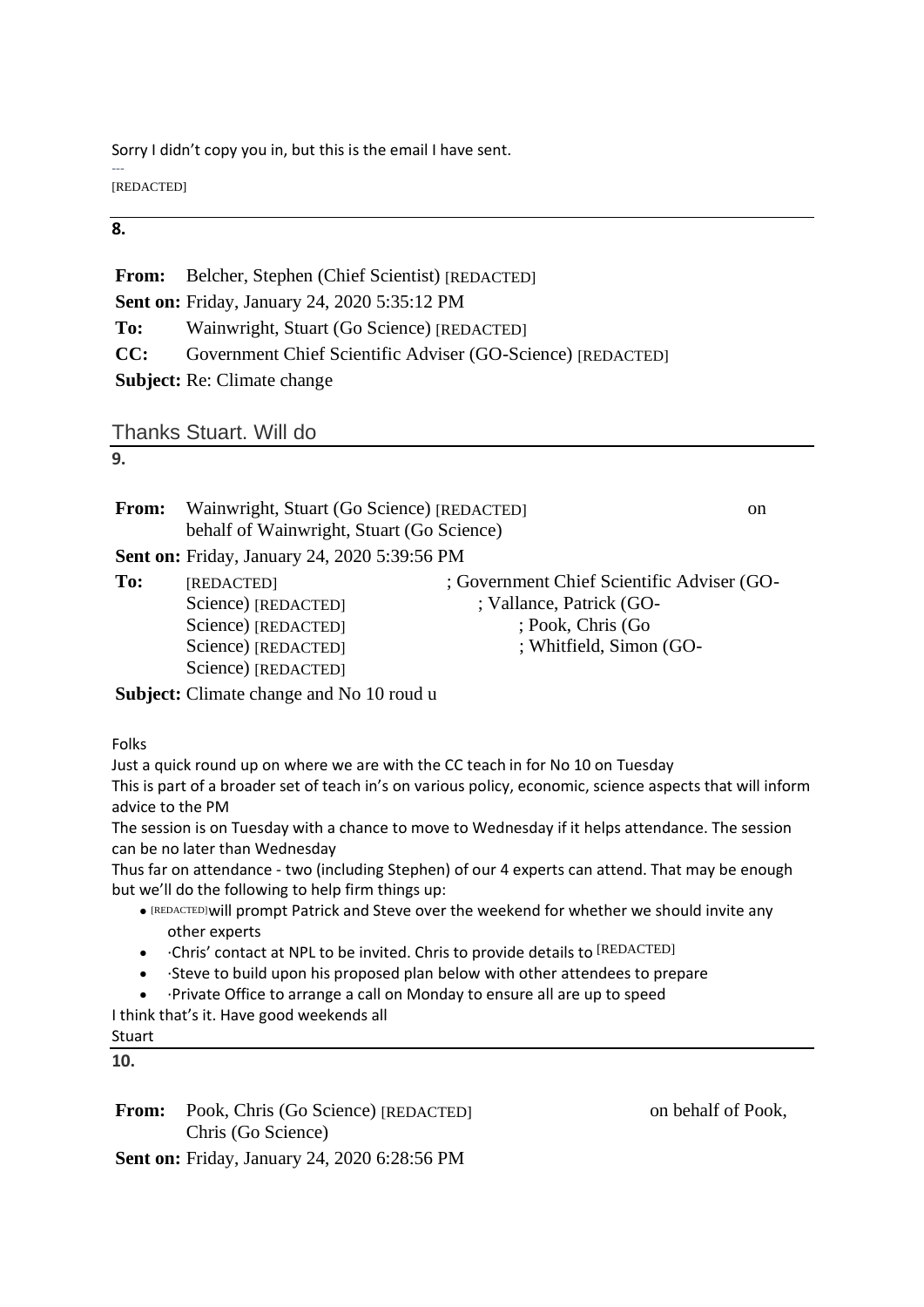Sorry I didn't copy you in, but this is the email I have sent.

--- [REDACTED]

### **8.**

|     | <b>From:</b> Belcher, Stephen (Chief Scientist) [REDACTED]  |
|-----|-------------------------------------------------------------|
|     | <b>Sent on: Friday, January 24, 2020 5:35:12 PM</b>         |
| To: | Wainwright, Stuart (Go Science) [REDACTED]                  |
| CC: | Government Chief Scientific Adviser (GO-Science) [REDACTED] |
|     | <b>Subject:</b> Re: Climate change                          |

Thanks Stuart. Will do

### **9.**

| <b>From:</b> | Wainwright, Stuart (Go Science) [REDACTED]<br><sub>on</sub><br>behalf of Wainwright, Stuart (Go Science) |                                                                                                                        |  |
|--------------|----------------------------------------------------------------------------------------------------------|------------------------------------------------------------------------------------------------------------------------|--|
|              | <b>Sent on: Friday, January 24, 2020 5:39:56 PM</b>                                                      |                                                                                                                        |  |
| To:          | [REDACTED]<br>Science) [REDACTED]<br>Science) [REDACTED]<br>Science) [REDACTED]<br>Science) [REDACTED]   | : Government Chief Scientific Adviser (GO-<br>; Vallance, Patrick (GO-<br>; Pook, Chris (Go<br>; Whitfield, Simon (GO- |  |
|              | Subject: Climate change and No 10 roud u                                                                 |                                                                                                                        |  |

Folks

Just a quick round up on where we are with the CC teach in for No 10 on Tuesday This is part of a broader set of teach in's on various policy, economic, science aspects that will inform advice to the PM

The session is on Tuesday with a chance to move to Wednesday if it helps attendance. The session can be no later than Wednesday

Thus far on attendance - two (including Stephen) of our 4 experts can attend. That may be enough but we'll do the following to help firm things up:

- . [REDACTED] will prompt Patrick and Steve over the weekend for whether we should invite any other experts
- Chris' contact at NPL to be invited. Chris to provide details to [REDACTED]
- ·Steve to build upon his proposed plan below with other attendees to prepare
- ·Private Office to arrange a call on Monday to ensure all are up to speed

I think that's it. Have good weekends all

# Stuart

**10.**

From: Pook, Chris (Go Science) [REDACTED] on behalf of Pook, Chris (Go Science)

**Sent on:** Friday, January 24, 2020 6:28:56 PM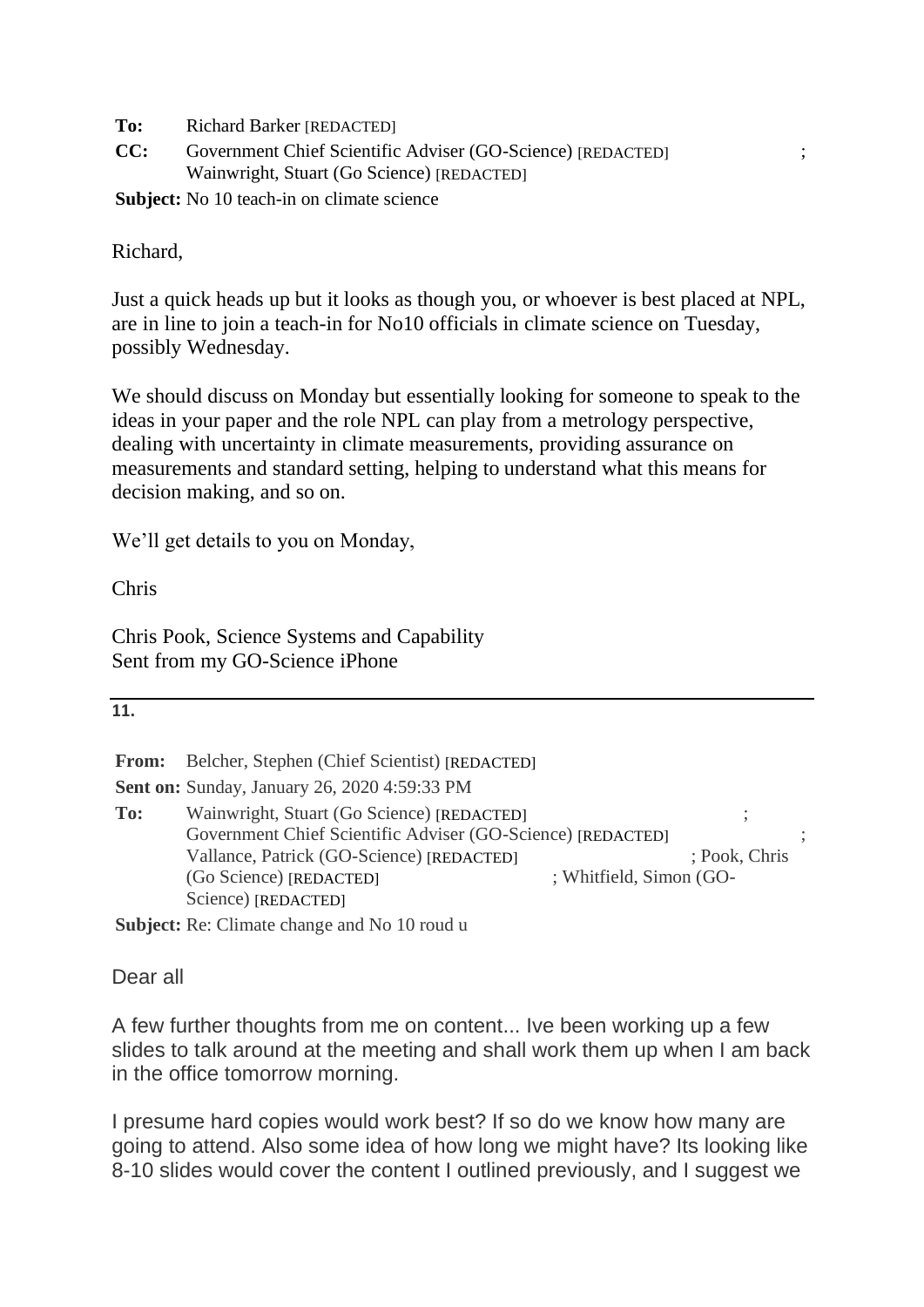**To:** Richard Barker [REDACTED]

CC: Government Chief Scientific Adviser (GO-Science) [REDACTED]  $\;$ ; Wainwright, Stuart (Go Science) [REDACTED]

**Subject:** No 10 teach-in on climate science

Richard,

Just a quick heads up but it looks as though you, or whoever is best placed at NPL, are in line to join a teach-in for No10 officials in climate science on Tuesday, possibly Wednesday.

We should discuss on Monday but essentially looking for someone to speak to the ideas in your paper and the role NPL can play from a metrology perspective, dealing with uncertainty in climate measurements, providing assurance on measurements and standard setting, helping to understand what this means for decision making, and so on.

We'll get details to you on Monday,

Chris

Chris Pook, Science Systems and Capability Sent from my GO-Science iPhone

| ۰. | ۰. |
|----|----|
| u  | u  |

**From:** Belcher, Stephen (Chief Scientist) [REDACTED]

**Sent on:** Sunday, January 26, 2020 4:59:33 PM

To: Wainwright, Stuart (Go Science) [REDACTED]  $\hspace{1.5cm}$  ; Government Chief Scientific Adviser (GO-Science) [REDACTED]  $\hspace{1.5cm}$  ; Vallance, Patrick (GO-Science) [REDACTED] ; Pook, Chris ; (Go Science) ; Whitfield, Simon (GO-[REDACTED] Science) [REDACTED]

**Subject:** Re: Climate change and No 10 roud u

Dear all

A few further thoughts from me on content... Ive been working up a few slides to talk around at the meeting and shall work them up when I am back in the office tomorrow morning.

I presume hard copies would work best? If so do we know how many are going to attend. Also some idea of how long we might have? Its looking like 8-10 slides would cover the content I outlined previously, and I suggest we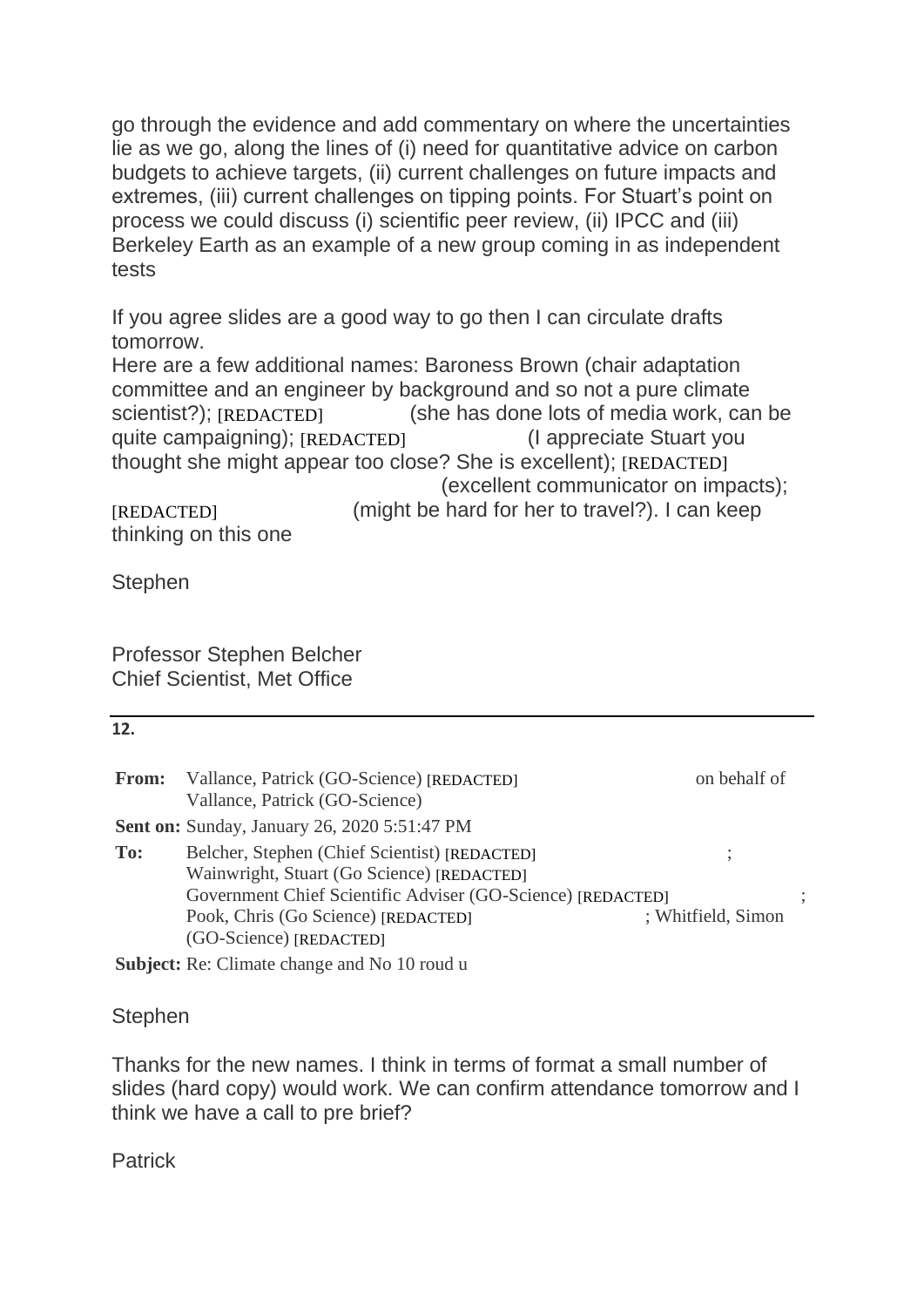go through the evidence and add commentary on where the uncertainties lie as we go, along the lines of (i) need for quantitative advice on carbon budgets to achieve targets, (ii) current challenges on future impacts and extremes, (iii) current challenges on tipping points. For Stuart's point on process we could discuss (i) scientific peer review, (ii) IPCC and (iii) Berkeley Earth as an example of a new group coming in as independent tests

If you agree slides are a good way to go then I can circulate drafts tomorrow.

Here are a few additional names: Baroness Brown (chair adaptation committee and an engineer by background and so not a pure climate (she has done lots of media work, can be quite campaigning); [REDACTED] (I appreciate Stuart you thought she might appear too close? She is excellent); [REDACTED] (excellent communicator on impacts); (might be hard for her to travel?). I can keep scientist?); [REDACTED]

thinking on this one [REDACTED]

Stephen

Professor Stephen Belcher Chief Scientist, Met Office

| 12.   |                                                                                                                               |                    |  |
|-------|-------------------------------------------------------------------------------------------------------------------------------|--------------------|--|
| From: | Vallance, Patrick (GO-Science) [REDACTED]<br>Vallance, Patrick (GO-Science)                                                   | on behalf of       |  |
|       | <b>Sent on: Sunday, January 26, 2020 5:51:47 PM</b>                                                                           |                    |  |
| To:   | Belcher, Stephen (Chief Scientist) [REDACTED]<br>Wainwright, Stuart (Go Science) [REDACTED]                                   |                    |  |
|       | Government Chief Scientific Adviser (GO-Science) [REDACTED]<br>Pook, Chris (Go Science) [REDACTED]<br>(GO-Science) [REDACTED] | ; Whitfield, Simon |  |
|       | <b>Subject:</b> Re: Climate change and No 10 roud u                                                                           |                    |  |

**Stephen** 

Thanks for the new names. I think in terms of format a small number of slides (hard copy) would work. We can confirm attendance tomorrow and I think we have a call to pre brief?

**Patrick**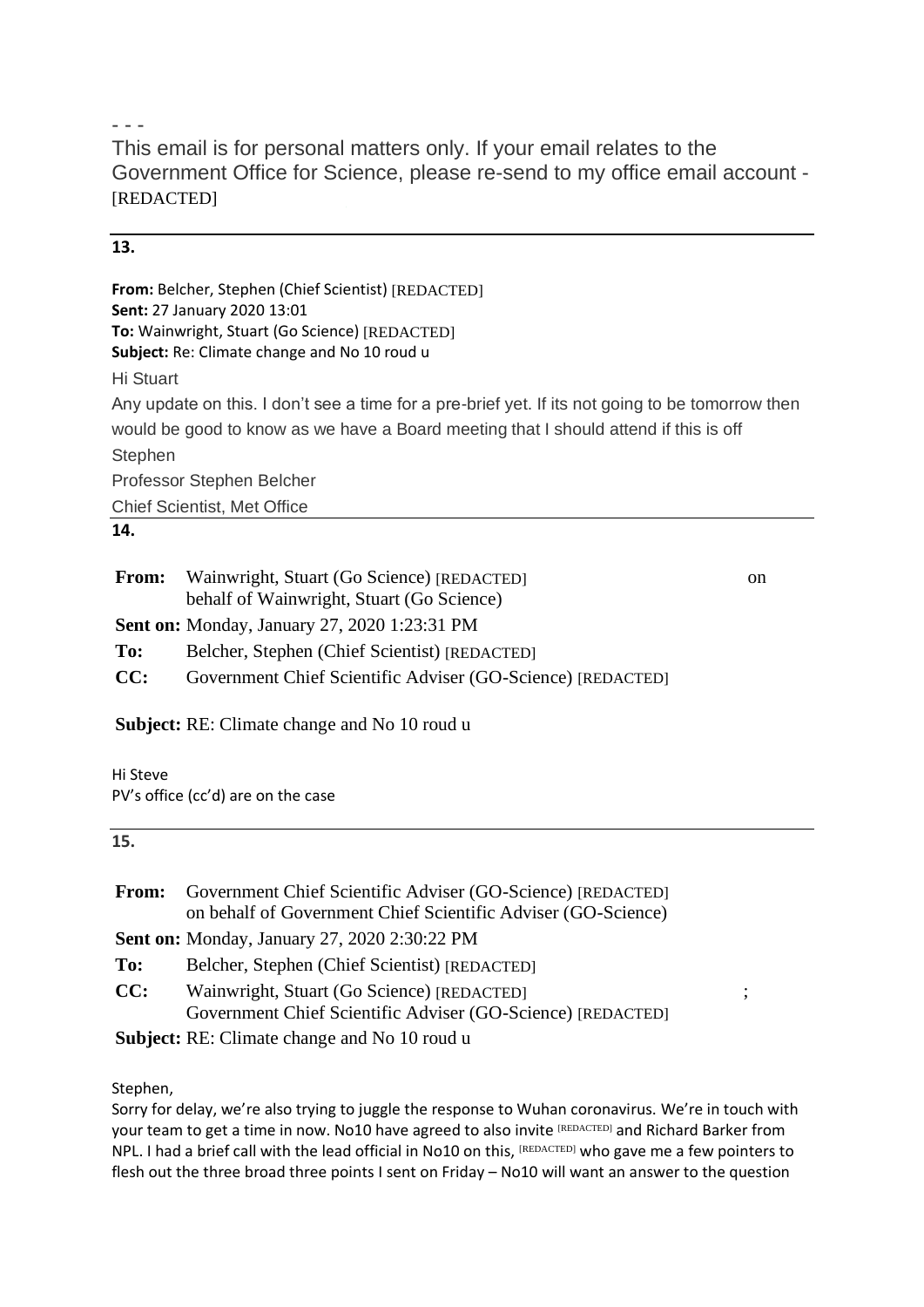- - -

This email is for personal matters only. If your email relates to the Government Office for Science, please re-send to my office email account - [REDACTED]

# **13.**

**From:** Belcher, Stephen (Chief Scientist) [REDACTED] **Sent:** 27 January 2020 13:01 **To:** Wainwright, Stuart (Go Science) [REDACTED] **Subject:** Re: Climate change and No 10 roud u

Hi Stuart

Any update on this. I don't see a time for a pre-brief yet. If its not going to be tomorrow then would be good to know as we have a Board meeting that I should attend if this is off **Stephen** Professor Stephen Belcher Chief Scientist, Met Office

# **14.**

| <b>From:</b> | Wainwright, Stuart (Go Science) [REDACTED]<br>behalf of Wainwright, Stuart (Go Science) | <sub>on</sub> |
|--------------|-----------------------------------------------------------------------------------------|---------------|
|              | <b>Sent on:</b> Monday, January 27, 2020 1:23:31 PM                                     |               |
| To:          | Belcher, Stephen (Chief Scientist) [REDACTED]                                           |               |
| CC:          | Government Chief Scientific Adviser (GO-Science) [REDACTED]                             |               |
|              |                                                                                         |               |

**Subject:** RE: Climate change and No 10 roud u

Hi Steve PV's office (cc'd) are on the case

### **15.**

| From: | Government Chief Scientific Adviser (GO-Science) [REDACTED]                                                                                                                                                                                                                                                                                   |              |
|-------|-----------------------------------------------------------------------------------------------------------------------------------------------------------------------------------------------------------------------------------------------------------------------------------------------------------------------------------------------|--------------|
|       | on behalf of Government Chief Scientific Adviser (GO-Science)                                                                                                                                                                                                                                                                                 |              |
|       | <b>Sent on:</b> Monday, January 27, 2020 2:30:22 PM                                                                                                                                                                                                                                                                                           |              |
| To:   | Belcher, Stephen (Chief Scientist) [REDACTED]                                                                                                                                                                                                                                                                                                 |              |
| CC:   | Wainwright, Stuart (Go Science) [REDACTED]<br>Government Chief Scientific Adviser (GO-Science) [REDACTED]                                                                                                                                                                                                                                     | $\ddot{ }$ , |
|       | $\alpha$ ii $\alpha$ and $\alpha$ ii $\alpha$ ii $\alpha$ ii $\alpha$ ii $\alpha$ ii $\alpha$ ii $\alpha$ ii $\alpha$ ii $\alpha$ ii $\alpha$ ii $\alpha$ ii $\alpha$ ii $\alpha$ ii $\alpha$ ii $\alpha$ ii $\alpha$ ii $\alpha$ ii $\alpha$ ii $\alpha$ ii $\alpha$ ii $\alpha$ ii $\alpha$ ii $\alpha$ ii $\alpha$ ii $\alpha$ ii $\alpha$ |              |

**Subject:** RE: Climate change and No 10 roud u

#### Stephen,

Sorry for delay, we're also trying to juggle the response to Wuhan coronavirus. We're in touch with your team to get a time in now. No10 have agreed to also invite [REDACTED] and Richard Barker from NPL. I had a brief call with the lead official in No10 on this,  $[REDACTED]$  who gave me a few pointers to flesh out the three broad three points I sent on Friday – No10 will want an answer to the question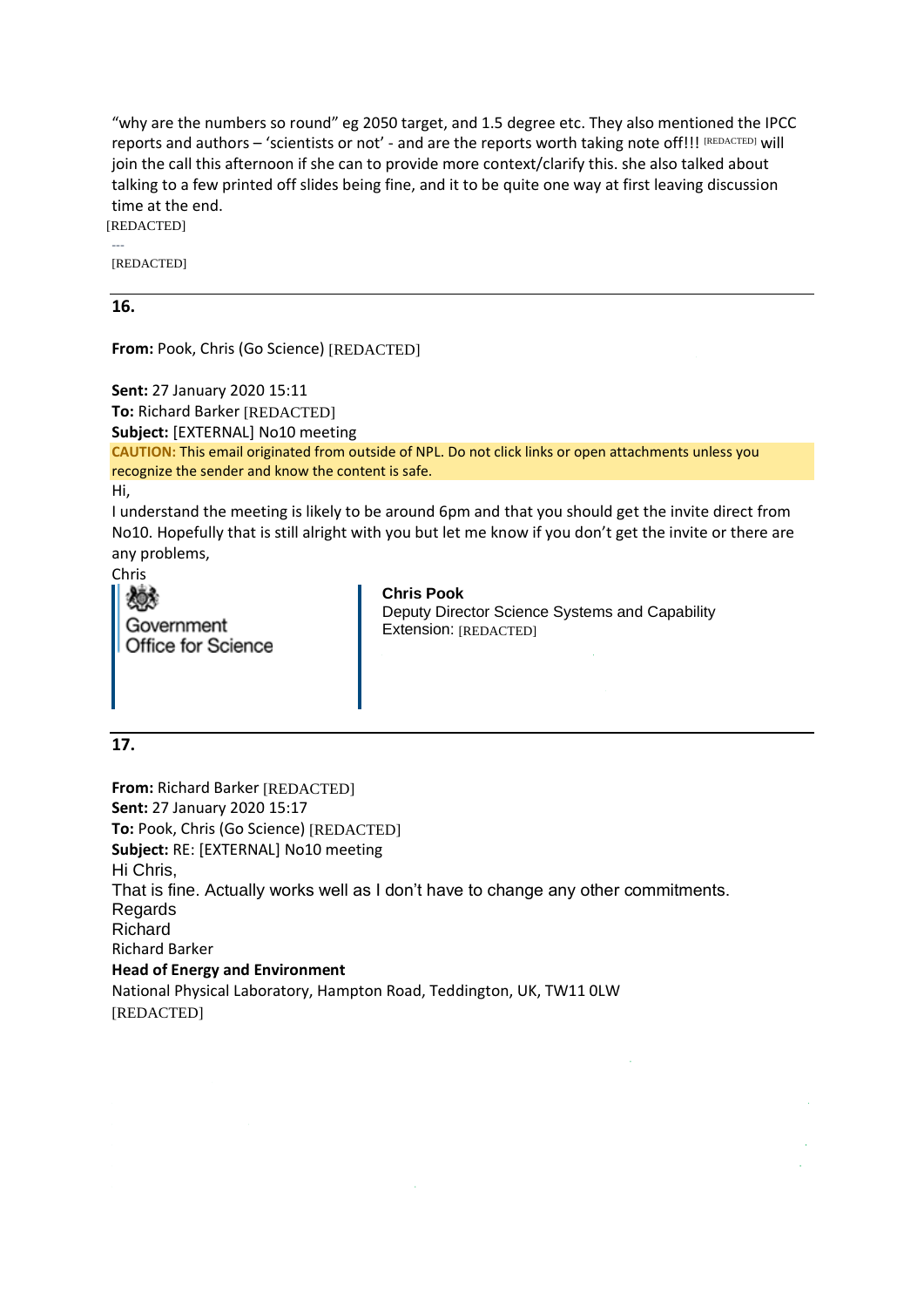"why are the numbers so round" eg 2050 target, and 1.5 degree etc. They also mentioned the IPCC reports and authors – 'scientists or not' - and are the reports worth taking note off!!! [REDACTED] will join the call this afternoon if she can to provide more context/clarify this. she also talked about talking to a few printed off slides being fine, and it to be quite one way at first leaving discussion time at the end.

--- [REDACTED] [REDACTED]

#### **16.**

**From:** Pook, Chris (Go Science) [REDACTED]

**Sent:** 27 January 2020 15:11 **To:** Richard Barker [REDACTED] **Subject:** [EXTERNAL] No10 meeting **CAUTION:** This email originated from outside of NPL. Do not click links or open attachments unless you recognize the sender and know the content is safe. Hi, I understand the meeting is likely to be around 6pm and that you should get the invite direct from

No10. Hopefully that is still alright with you but let me know if you don't get the invite or there are any problems,

Chris

| 《嫁                        |  |
|---------------------------|--|
| Government                |  |
| <b>Office for Science</b> |  |

**Chris Pook** Deputy Director Science Systems and Capability Extension: [REDACTED]

### **17.**

**From:** Richard Barker [REDACTED] **Sent:** 27 January 2020 15:17 **To:** Pook, Chris (Go Science) [REDACTED] **Subject:** RE: [EXTERNAL] No10 meeting Hi Chris, That is fine. Actually works well as I don't have to change any other commitments. **Regards** Richard Richard Barker **Head of Energy and Environment** National Physical Laboratory, Hampton Road, Teddington, UK, TW11 0LW [REDACTED]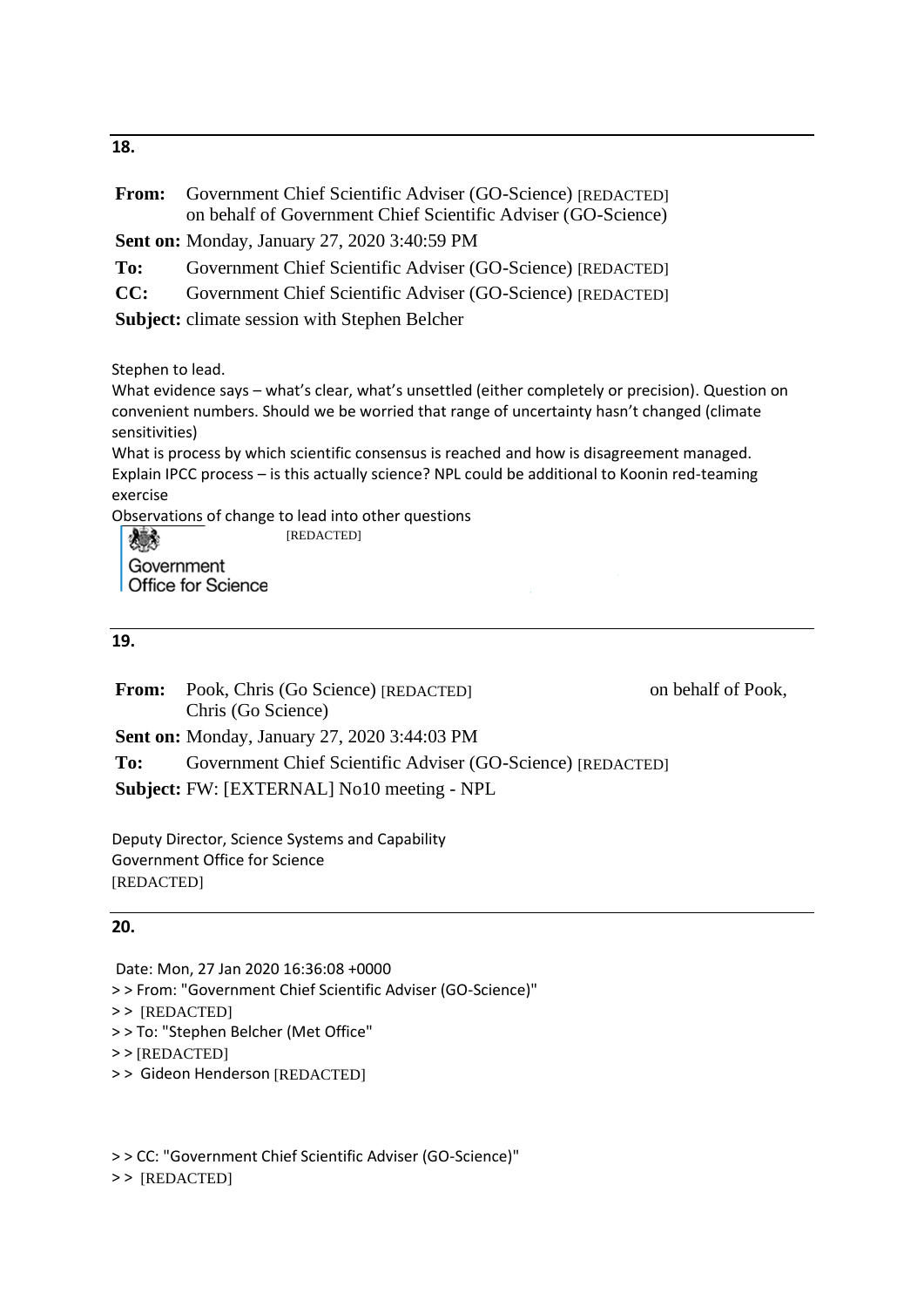**18.**

| From:                                                        | Government Chief Scientific Adviser (GO-Science) [REDACTED]<br>on behalf of Government Chief Scientific Adviser (GO-Science)                                                                                                                                                                                                                                                                                                                                                                     |
|--------------------------------------------------------------|--------------------------------------------------------------------------------------------------------------------------------------------------------------------------------------------------------------------------------------------------------------------------------------------------------------------------------------------------------------------------------------------------------------------------------------------------------------------------------------------------|
|                                                              | <b>Sent on:</b> Monday, January 27, 2020 3:40:59 PM                                                                                                                                                                                                                                                                                                                                                                                                                                              |
| To:                                                          | Government Chief Scientific Adviser (GO-Science) [REDACTED]                                                                                                                                                                                                                                                                                                                                                                                                                                      |
| CC:                                                          | Government Chief Scientific Adviser (GO-Science) [REDACTED]                                                                                                                                                                                                                                                                                                                                                                                                                                      |
|                                                              | <b>Subject:</b> climate session with Stephen Belcher                                                                                                                                                                                                                                                                                                                                                                                                                                             |
| Stephen to lead.<br>sensitivities)<br>exercise<br>Government | What evidence says - what's clear, what's unsettled (either completely or precision). Question on<br>convenient numbers. Should we be worried that range of uncertainty hasn't changed (climate<br>What is process by which scientific consensus is reached and how is disagreement managed.<br>Explain IPCC process - is this actually science? NPL could be additional to Koonin red-teaming<br>Observations of change to lead into other questions<br>[REDACTED]<br><b>Office for Science</b> |
| 19.                                                          |                                                                                                                                                                                                                                                                                                                                                                                                                                                                                                  |

**From:** Pook, Chris (Go Science) [REDACTED] on behalf of Pook, Chris (Go Science) **Sent on:** Monday, January 27, 2020 3:44:03 PM To: Government Chief Scientific Adviser (GO-Science) [REDACTED] **Subject:** FW: [EXTERNAL] No10 meeting - NPL

Deputy Director, Science Systems and Capability Government Office for Science [REDACTED]

# **20.**

Date: Mon, 27 Jan 2020 16:36:08 +0000

> > From: "Government Chief Scientific Adviser (GO-Science)"

> > [REDACTED]

> > To: "Stephen Belcher (Met Office"

> > [REDACTED]

> > Gideon Henderson [REDACTED]

> > CC: "Government Chief Scientific Adviser (GO-Science)"

> > [REDACTED]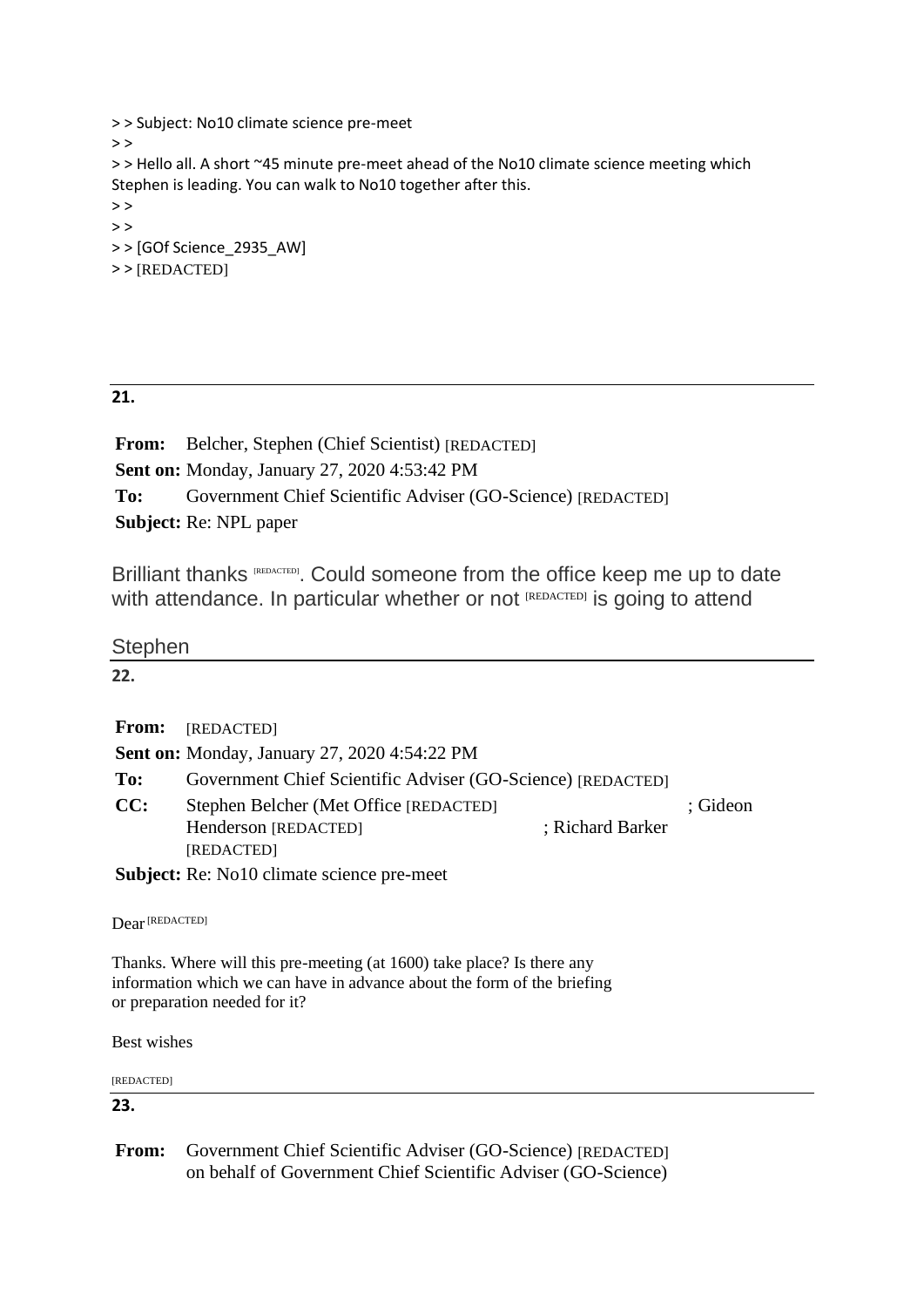> > Subject: No10 climate science pre-meet  $>$ > > Hello all. A short ~45 minute pre-meet ahead of the No10 climate science meeting which Stephen is leading. You can walk to No10 together after this.  $\rightarrow$   $>$  $>$ > > [GOf Science\_2935\_AW] > > [REDACTED]

# **21.**

**From:** Belcher, Stephen (Chief Scientist) [REDACTED] **Sent on:** Monday, January 27, 2020 4:53:42 PM To: Government Chief Scientific Adviser (GO-Science) [REDACTED] **Subject:** Re: NPL paper

Brilliant thanks [REDACTED]. Could someone from the office keep me up to date with attendance. In particular whether or not [REDACTED] is going to attend

**Stephen** 

**22.**

**From:** [REDACTED]

**Sent on:** Monday, January 27, 2020 4:54:22 PM

| To: | Government Chief Scientific Adviser (GO-Science) [REDACTED] |                  |          |
|-----|-------------------------------------------------------------|------------------|----------|
| CC: | Stephen Belcher (Met Office [REDACTED]                      |                  | : Gideon |
|     | Henderson [REDACTED]                                        | ; Richard Barker |          |
|     | [REDACTED]                                                  |                  |          |

**Subject:** Re: No10 climate science pre-meet

Dear [REDACTED]

Thanks. Where will this pre-meeting (at 1600) take place? Is there any information which we can have in advance about the form of the briefing or preparation needed for it?

Best wishes

[REDACTED]

**23.**

**From:** Government Chief Scientific Adviser (GO-Science) [REDACTED]on behalf of Government Chief Scientific Adviser (GO-Science)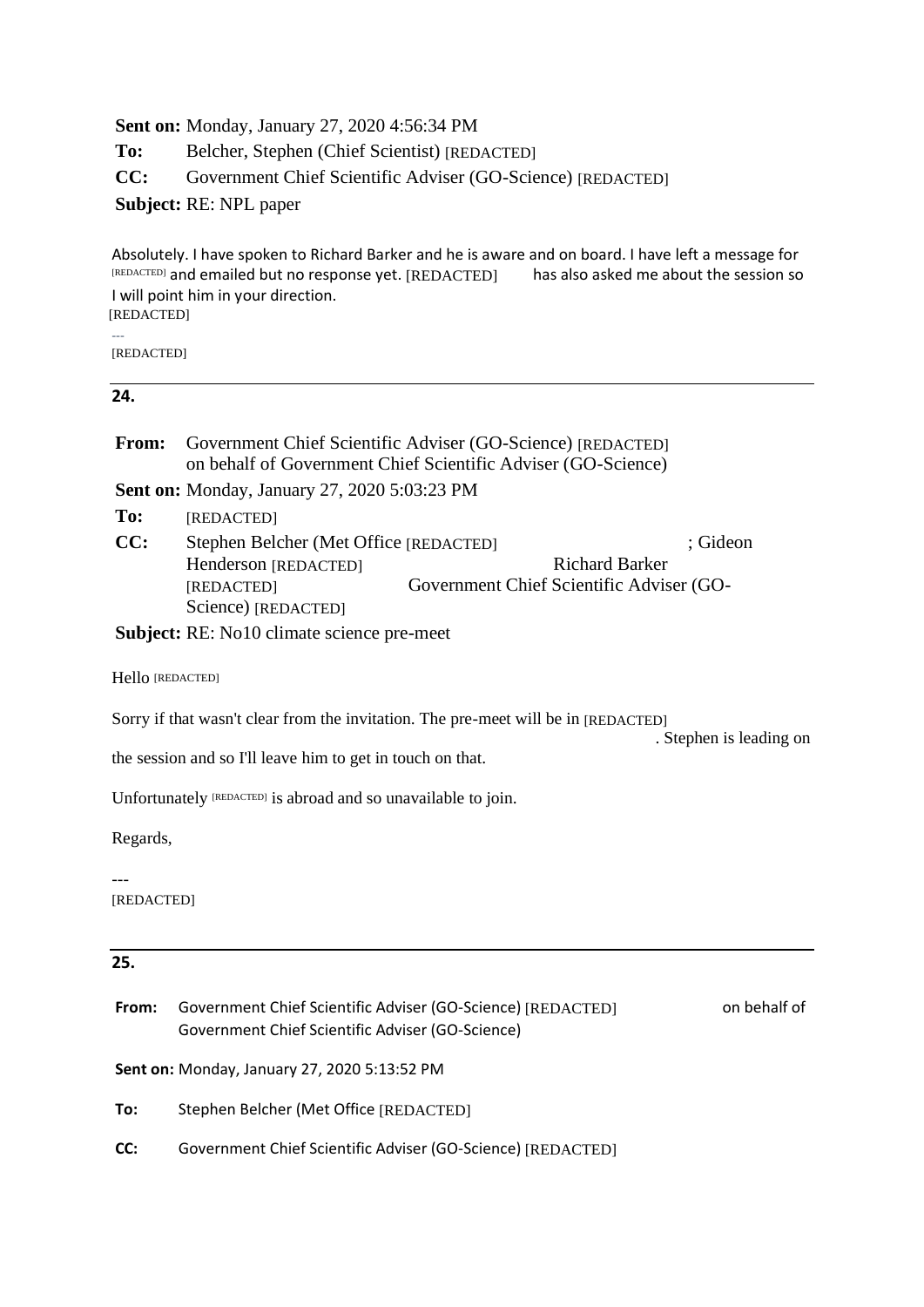### **Sent on:** Monday, January 27, 2020 4:56:34 PM

**To:** Belcher, Stephen (Chief Scientist) [REDACTED]

**CC:** Government Chief Scientific Adviser (GO-Science) [REDACTED]

**Subject:** RE: NPL paper

Absolutely. I have spoken to Richard Barker and he is aware and on board. I have left a message for  $REDACTED$ ] and emailed but no response yet.  $[REDACTED]$  has also asked me about the session so I will point him in your direction.

[REDACTED]

---

[REDACTED]

#### **24.**

| <b>From:</b> Government Chief Scientific Adviser (GO-Science) [REDACTED] |
|--------------------------------------------------------------------------|
| on behalf of Government Chief Scientific Adviser (GO-Science)            |

**Sent on:** Monday, January 27, 2020 5:03:23 PM

**To:** [REDACTED]

CC: Stephen Belcher (Met Office [REDACTED]  $\qquad$ ; Gideon Henderson [REDACTED] Richard Barker Government Chief Scientific Adviser (GO-Science) [REDACTED] [REDACTED]

**Subject:** RE: No10 climate science pre-meet

Hello [REDACTED]

Sorry if that wasn't clear from the invitation. The pre-meet will be in [REDACTED]

. Stephen is leading on

the session and so I'll leave him to get in touch on that.

Unfortunately [REDACTED] is abroad and so unavailable to join.

Regards,

---

[REDACTED]

# **25.**

| From: | Government Chief Scientific Adviser (GO-Science) [REDACTED] | on behalf of |
|-------|-------------------------------------------------------------|--------------|
|       | Government Chief Scientific Adviser (GO-Science)            |              |
|       |                                                             |              |

**Sent on:** Monday, January 27, 2020 5:13:52 PM

**To:** Stephen Belcher (Met Office [REDACTED]

**CC:** Government Chief Scientific Adviser (GO-Science) [REDACTED]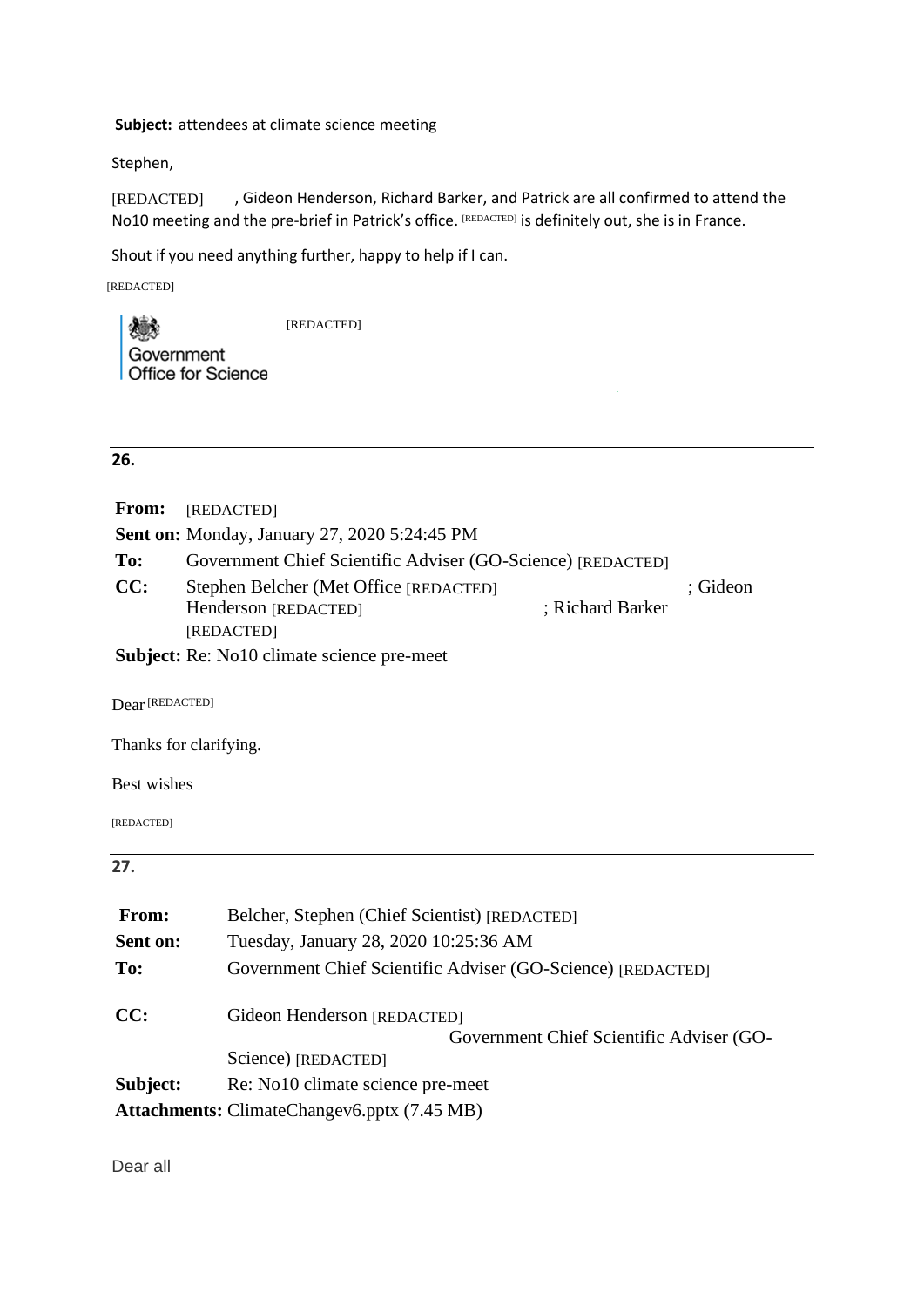#### **Subject:** attendees at climate science meeting

Stephen,

, Gideon Henderson, Richard Barker, and Patrick are all confirmed to attend the No10 meeting and the pre-brief in Patrick's office. [REDACTED] is definitely out, she is in France. [REDACTED]

Shout if you need anything further, happy to help if I can.

[REDACTED]

[REDACTED]

203 Government **Office for Science** 

# **26.**

| <b>From:</b> | [REDACTED]                                                                                                                                                                                                                             |                  |          |
|--------------|----------------------------------------------------------------------------------------------------------------------------------------------------------------------------------------------------------------------------------------|------------------|----------|
|              | <b>Sent on:</b> Monday, January 27, 2020 5:24:45 PM                                                                                                                                                                                    |                  |          |
| To:          | Government Chief Scientific Adviser (GO-Science) [REDACTED]                                                                                                                                                                            |                  |          |
| CC:          | Stephen Belcher (Met Office [REDACTED]                                                                                                                                                                                                 |                  | : Gideon |
|              | Henderson [REDACTED]                                                                                                                                                                                                                   | ; Richard Barker |          |
|              | [REDACTED]                                                                                                                                                                                                                             |                  |          |
|              | $\mathbf{C}$ . Let $\mathbf{A}$ . D., N. 10. 1, and the state of the state of the state of the state of the state of the state of the state of the state of the state of the state of the state of the state of the state of the state |                  |          |

**Subject:** Re: No10 climate science pre-meet

Dear [REDACTED]

Thanks for clarifying.

Best wishes

[REDACTED]

# **27.**

| From:    | Belcher, Stephen (Chief Scientist) [REDACTED]                           |  |
|----------|-------------------------------------------------------------------------|--|
| Sent on: | Tuesday, January 28, 2020 10:25:36 AM                                   |  |
| To:      | Government Chief Scientific Adviser (GO-Science) [REDACTED]             |  |
| CC:      | Gideon Henderson [REDACTED]<br>Government Chief Scientific Adviser (GO- |  |
|          | Science) [REDACTED]                                                     |  |
| Subject: | Re: No10 climate science pre-meet                                       |  |
|          | <b>Attachments:</b> ClimateChangev6.pptx (7.45 MB)                      |  |

Dear all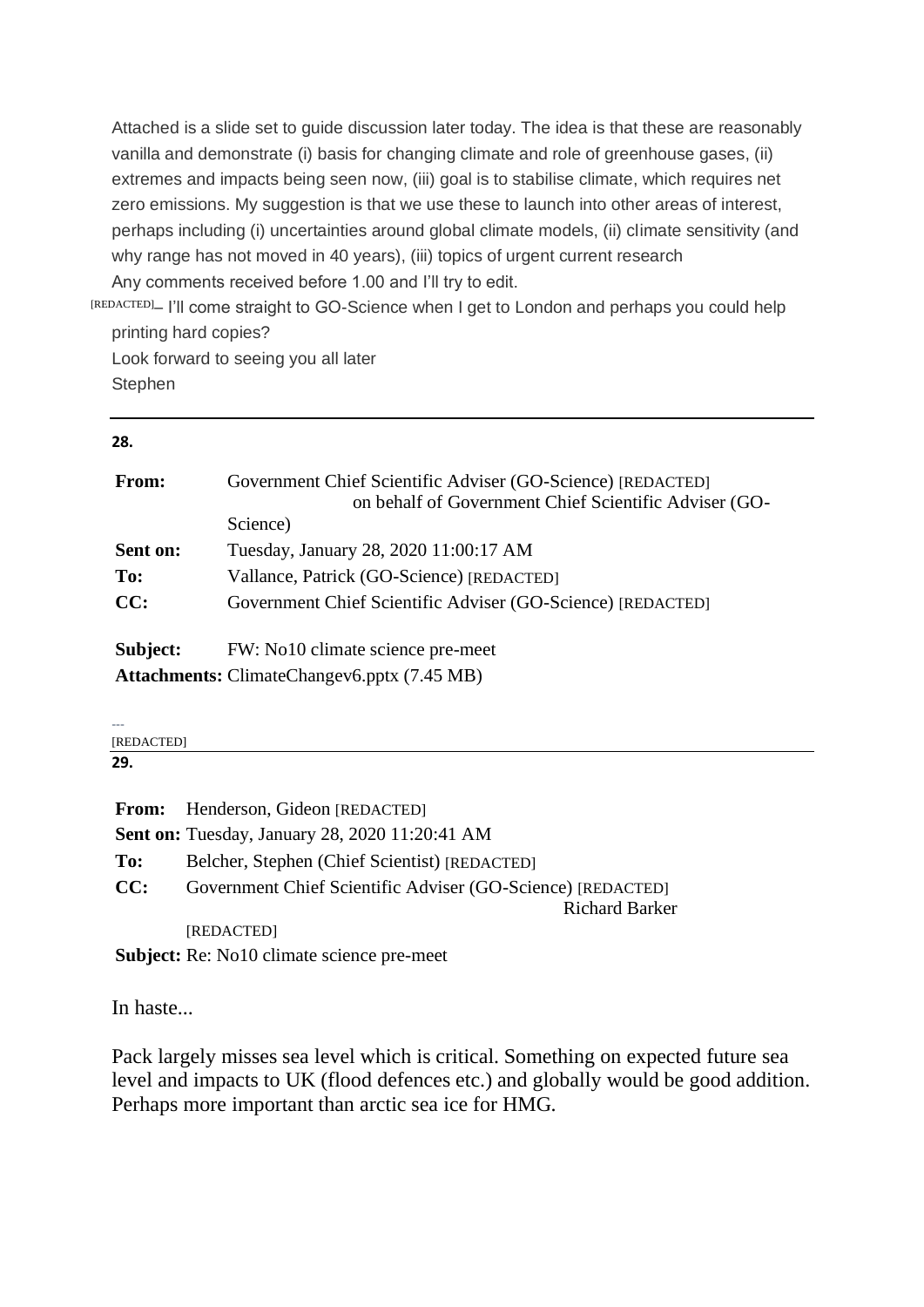Attached is a slide set to guide discussion later today. The idea is that these are reasonably vanilla and demonstrate (i) basis for changing climate and role of greenhouse gases, (ii) extremes and impacts being seen now, (iii) goal is to stabilise climate, which requires net zero emissions. My suggestion is that we use these to launch into other areas of interest, perhaps including (i) uncertainties around global climate models, (ii) climate sensitivity (and why range has not moved in 40 years), (iii) topics of urgent current research Any comments received before 1.00 and I'll try to edit.

[REDACTED]- I'll come straight to GO-Science when I get to London and perhaps you could help printing hard copies?

Look forward to seeing you all later **Stephen** 

### **28.**

| From:    | Government Chief Scientific Adviser (GO-Science) [REDACTED]<br>on behalf of Government Chief Scientific Adviser (GO-<br>Science) |
|----------|----------------------------------------------------------------------------------------------------------------------------------|
| Sent on: | Tuesday, January 28, 2020 11:00:17 AM                                                                                            |
| To:      | Vallance, Patrick (GO-Science) [REDACTED]                                                                                        |
| CC:      | Government Chief Scientific Adviser (GO-Science) [REDACTED]                                                                      |
| Subject: | FW: No10 climate science pre-meet                                                                                                |
|          | <b>Attachments:</b> ClimateChangev6.pptx (7.45 MB)                                                                               |

--- [REDACTED]

**29.**

|     | From: Henderson, Gideon [REDACTED]                          |
|-----|-------------------------------------------------------------|
|     | <b>Sent on:</b> Tuesday, January 28, 2020 11:20:41 AM       |
| To: | Belcher, Stephen (Chief Scientist) [REDACTED]               |
| CC: | Government Chief Scientific Adviser (GO-Science) [REDACTED] |
|     | <b>Richard Barker</b>                                       |
|     | [REDACTED]                                                  |
|     | <b>Subject:</b> Re: No10 climate science pre-meet           |

In haste...

Pack largely misses sea level which is critical. Something on expected future sea level and impacts to UK (flood defences etc.) and globally would be good addition. Perhaps more important than arctic sea ice for HMG.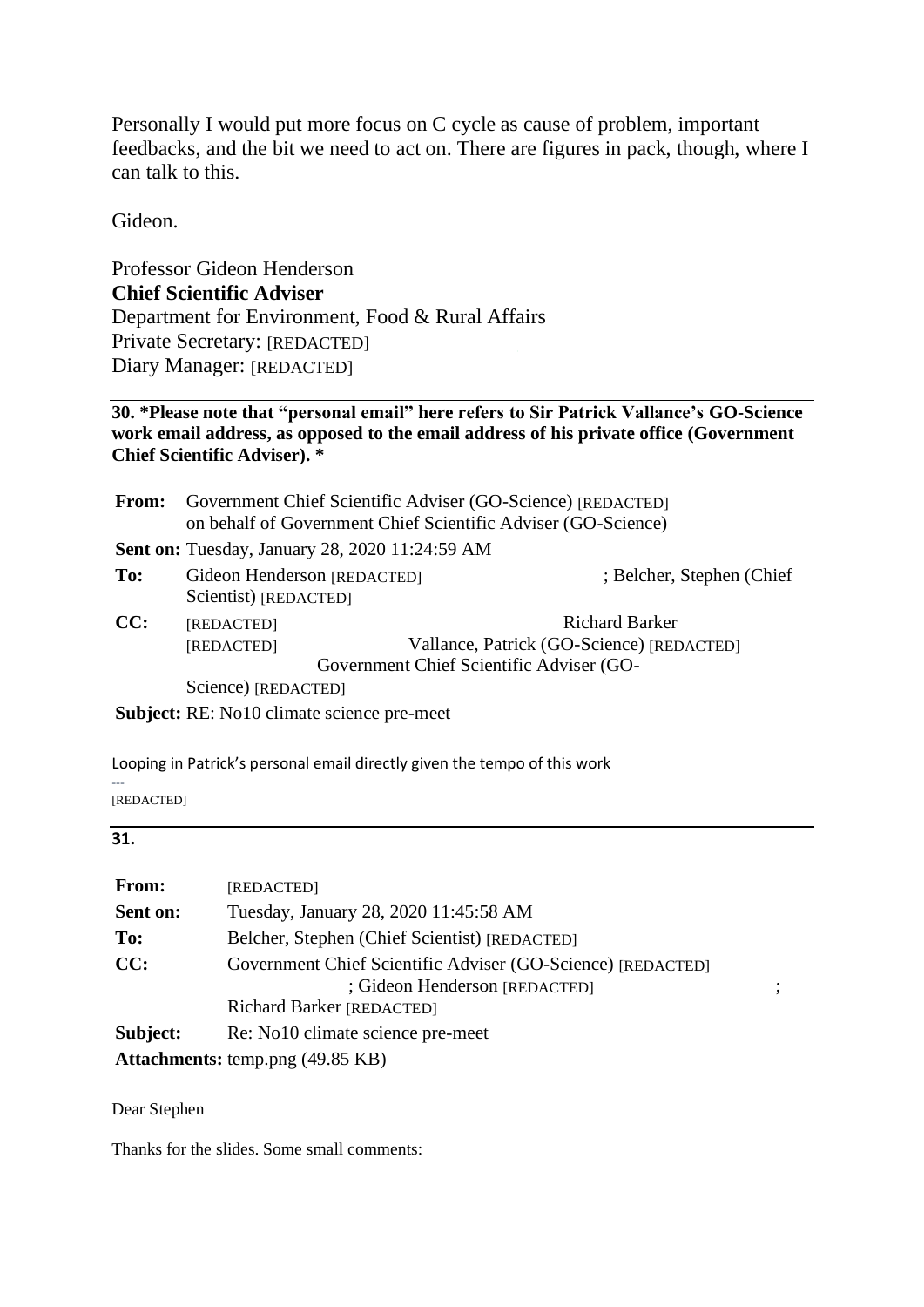Personally I would put more focus on C cycle as cause of problem, important feedbacks, and the bit we need to act on. There are figures in pack, though, where I can talk to this.

Gideon.

Professor Gideon Henderson **Chief Scientific Adviser** Department for Environment, Food & Rural Affairs Private Secretary: [REDACTED] Diary Manager: [REDACTED]

# **30. \*Please note that "personal email" here refers to Sir Patrick Vallance's GO-Science work email address, as opposed to the email address of his private office (Government Chief Scientific Adviser). \***

|     | <b>From:</b> Government Chief Scientific Adviser (GO-Science) [REDACTED]<br>on behalf of Government Chief Scientific Adviser (GO-Science) |                                                                                                         |
|-----|-------------------------------------------------------------------------------------------------------------------------------------------|---------------------------------------------------------------------------------------------------------|
|     | <b>Sent on:</b> Tuesday, January 28, 2020 11:24:59 AM                                                                                     |                                                                                                         |
| To: | Gideon Henderson [REDACTED]<br>Scientist) [REDACTED]                                                                                      | ; Belcher, Stephen (Chief)                                                                              |
| CC: | [REDACTED]<br>[REDACTED]                                                                                                                  | Richard Barker<br>Vallance, Patrick (GO-Science) [REDACTED]<br>Government Chief Scientific Adviser (GO- |
|     | Science) [REDACTED]                                                                                                                       |                                                                                                         |
|     | <b>Subject:</b> RE: No10 climate science pre-meet                                                                                         |                                                                                                         |

Looping in Patrick's personal email directly given the tempo of this work

--- [REDACTED]

### **31.**

| From:    | [REDACTED]                                                                                   |
|----------|----------------------------------------------------------------------------------------------|
| Sent on: | Tuesday, January 28, 2020 11:45:58 AM                                                        |
| To:      | Belcher, Stephen (Chief Scientist) [REDACTED]                                                |
| CC:      | Government Chief Scientific Adviser (GO-Science) [REDACTED]<br>; Gideon Henderson [REDACTED] |
|          | Richard Barker [REDACTED]                                                                    |
| Subject: | Re: No10 climate science pre-meet                                                            |
|          | <b>Attachments:</b> temp.png (49.85 KB)                                                      |

Dear Stephen

Thanks for the slides. Some small comments: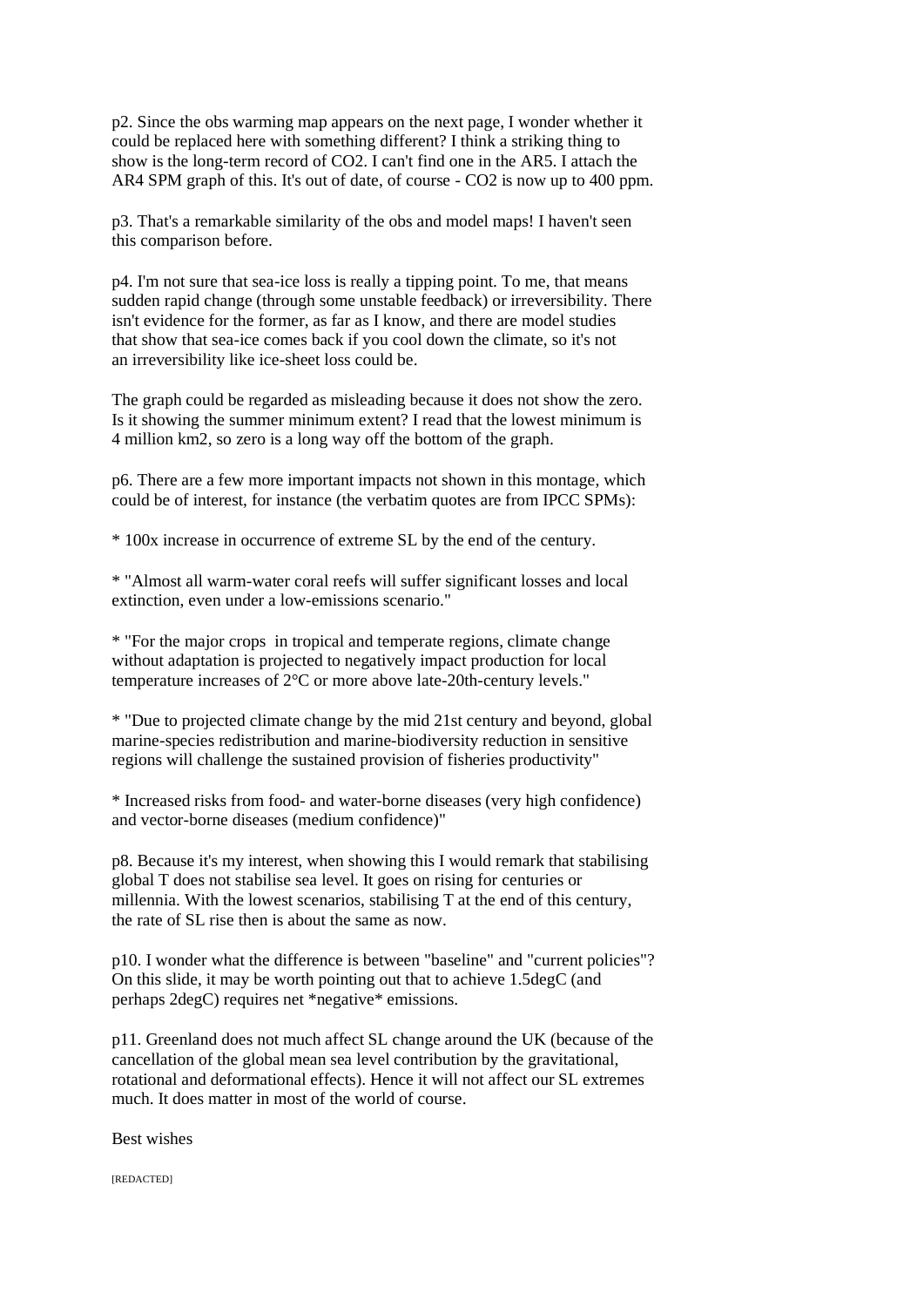p2. Since the obs warming map appears on the next page, I wonder whether it could be replaced here with something different? I think a striking thing to show is the long-term record of CO2. I can't find one in the AR5. I attach the AR4 SPM graph of this. It's out of date, of course - CO2 is now up to 400 ppm.

p3. That's a remarkable similarity of the obs and model maps! I haven't seen this comparison before.

p4. I'm not sure that sea-ice loss is really a tipping point. To me, that means sudden rapid change (through some unstable feedback) or irreversibility. There isn't evidence for the former, as far as I know, and there are model studies that show that sea-ice comes back if you cool down the climate, so it's not an irreversibility like ice-sheet loss could be.

The graph could be regarded as misleading because it does not show the zero. Is it showing the summer minimum extent? I read that the lowest minimum is 4 million km2, so zero is a long way off the bottom of the graph.

p6. There are a few more important impacts not shown in this montage, which could be of interest, for instance (the verbatim quotes are from IPCC SPMs):

\* 100x increase in occurrence of extreme SL by the end of the century.

\* "Almost all warm-water coral reefs will suffer significant losses and local extinction, even under a low-emissions scenario."

\* "For the major crops in tropical and temperate regions, climate change without adaptation is projected to negatively impact production for local temperature increases of 2°C or more above late-20th-century levels."

\* "Due to projected climate change by the mid 21st century and beyond, global marine-species redistribution and marine-biodiversity reduction in sensitive regions will challenge the sustained provision of fisheries productivity"

\* Increased risks from food- and water-borne diseases (very high confidence) and vector-borne diseases (medium confidence)"

p8. Because it's my interest, when showing this I would remark that stabilising global T does not stabilise sea level. It goes on rising for centuries or millennia. With the lowest scenarios, stabilising T at the end of this century, the rate of SL rise then is about the same as now.

p10. I wonder what the difference is between "baseline" and "current policies"? On this slide, it may be worth pointing out that to achieve 1.5degC (and perhaps 2degC) requires net \*negative\* emissions.

p11. Greenland does not much affect SL change around the UK (because of the cancellation of the global mean sea level contribution by the gravitational, rotational and deformational effects). Hence it will not affect our SL extremes much. It does matter in most of the world of course.

Best wishes

[REDACTED]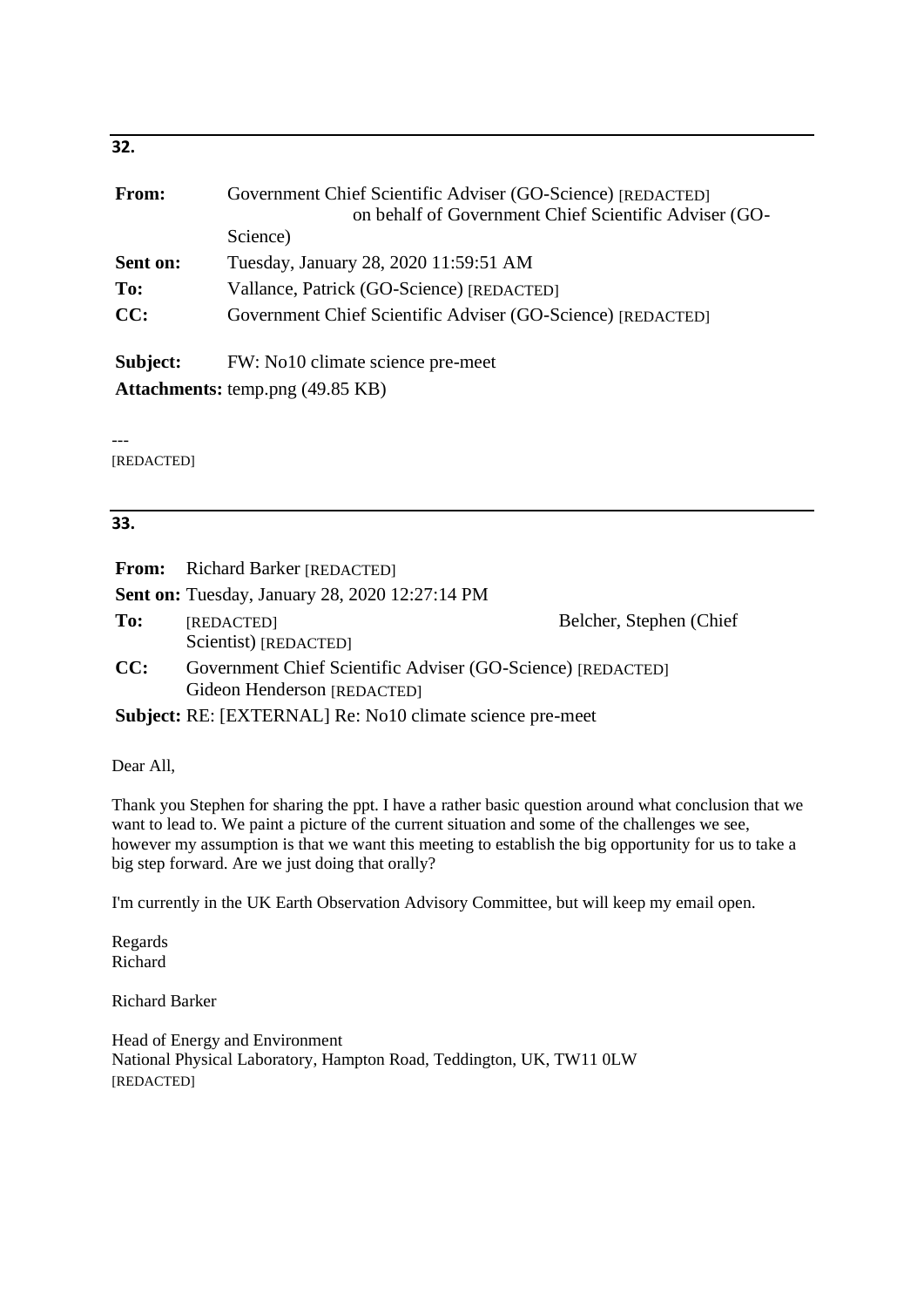| <b>From:</b> | Government Chief Scientific Adviser (GO-Science) [REDACTED] |
|--------------|-------------------------------------------------------------|
|              | on behalf of Government Chief Scientific Adviser (GO-       |
|              | Science)                                                    |
| Sent on:     | Tuesday, January 28, 2020 11:59:51 AM                       |
| To:          | Vallance, Patrick (GO-Science) [REDACTED]                   |
| CC:          | Government Chief Scientific Adviser (GO-Science) [REDACTED] |
| Subject:     | FW: No10 climate science pre-meet                           |
|              | <b>Attachments:</b> temp.png (49.85 KB)                     |

---

[REDACTED]

# **33.**

|     | <b>From:</b> Richard Barker [REDACTED]                                                     |                          |
|-----|--------------------------------------------------------------------------------------------|--------------------------|
|     | <b>Sent on:</b> Tuesday, January 28, 2020 12:27:14 PM                                      |                          |
| To: | [REDACTED]<br>Scientist) [REDACTED]                                                        | Belcher, Stephen (Chief) |
| CC: | Government Chief Scientific Adviser (GO-Science) [REDACTED]<br>Gideon Henderson [REDACTED] |                          |
|     | <b>Subject:</b> RE: [EXTERNAL] Re: No10 climate science pre-meet                           |                          |

Dear All,

Thank you Stephen for sharing the ppt. I have a rather basic question around what conclusion that we want to lead to. We paint a picture of the current situation and some of the challenges we see, however my assumption is that we want this meeting to establish the big opportunity for us to take a big step forward. Are we just doing that orally?

I'm currently in the UK Earth Observation Advisory Committee, but will keep my email open.

Regards Richard

Richard Barker

Head of Energy and Environment National Physical Laboratory, Hampton Road, Teddington, UK, TW11 0LW [REDACTED]

**32.**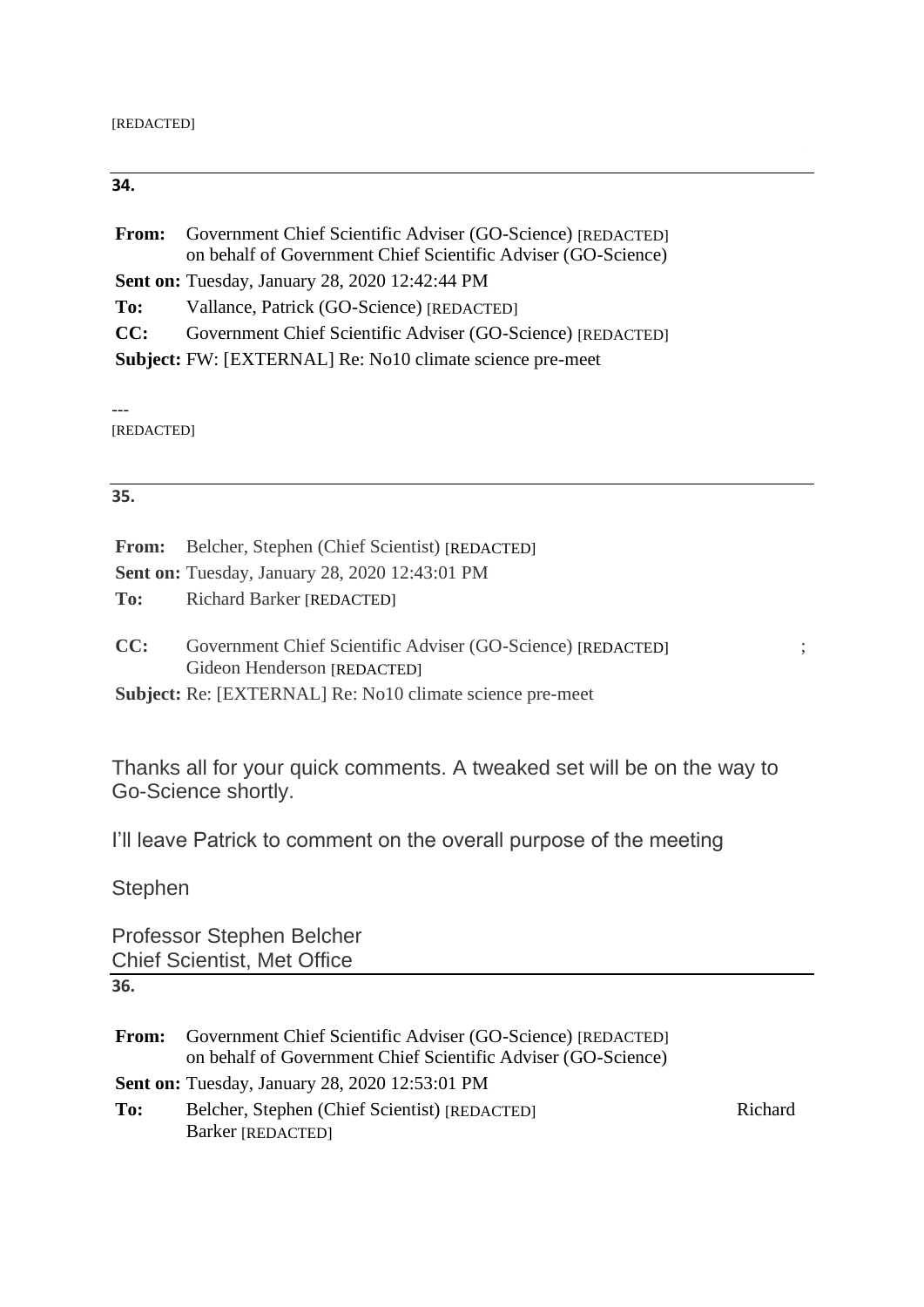# **34.**

| From: | Government Chief Scientific Adviser (GO-Science) [REDACTED]<br>on behalf of Government Chief Scientific Adviser (GO-Science) |
|-------|------------------------------------------------------------------------------------------------------------------------------|
|       | <b>Sent on:</b> Tuesday, January 28, 2020 12:42:44 PM                                                                        |
| To:   | Vallance, Patrick (GO-Science) [REDACTED]                                                                                    |
| CC:   | Government Chief Scientific Adviser (GO-Science) [REDACTED]                                                                  |
|       | Subject: FW: [EXTERNAL] Re: No10 climate science pre-meet                                                                    |

---

[REDACTED]

# **35.**

|     | <b>From:</b> Belcher, Stephen (Chief Scientist) [REDACTED]                                                                                              |
|-----|---------------------------------------------------------------------------------------------------------------------------------------------------------|
|     | Sent on: Tuesday, January 28, 2020 12:43:01 PM                                                                                                          |
|     | <b>To:</b> Richard Barker [REDACTED]                                                                                                                    |
| CC: | Government Chief Scientific Adviser (GO-Science) [REDACTED]<br>Gideon Henderson [REDACTED]<br>Subject: Re: [EXTERNAL] Re: No10 climate science pre-meet |

Thanks all for your quick comments. A tweaked set will be on the way to Go-Science shortly.

I'll leave Patrick to comment on the overall purpose of the meeting

**Stephen** 

Professor Stephen Belcher Chief Scientist, Met Office

**<sup>36.</sup>**

| From: | Government Chief Scientific Adviser (GO-Science) [REDACTED]<br>on behalf of Government Chief Scientific Adviser (GO-Science) |         |
|-------|------------------------------------------------------------------------------------------------------------------------------|---------|
|       | <b>Sent on:</b> Tuesday, January 28, 2020 12:53:01 PM                                                                        |         |
| To:   | Belcher, Stephen (Chief Scientist) [REDACTED]                                                                                | Richard |
|       | Barker [REDACTED]                                                                                                            |         |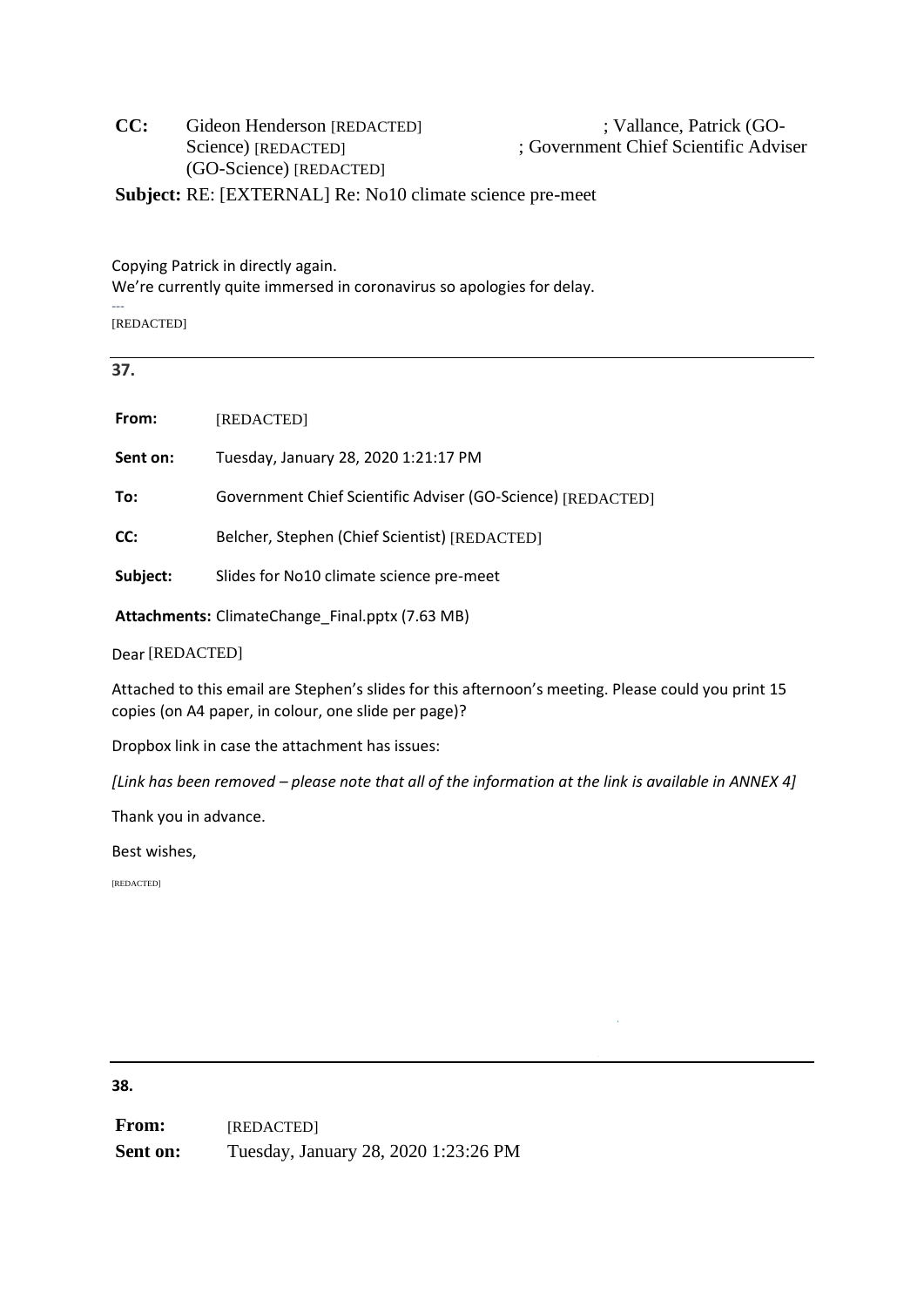# CC: Gideon Henderson [REDACTED] ; Vallance, Patrick (GO-(GO-Science) [REDACTED] Science) [REDACTED]

; Government Chief Scientific Adviser

**Subject:** RE: [EXTERNAL] Re: No10 climate science pre-meet

Copying Patrick in directly again.

We're currently quite immersed in coronavirus so apologies for delay.

[REDACTED]

# **37.**

---

| From:                 | [REDACTED]                                                                                                                                                  |  |  |
|-----------------------|-------------------------------------------------------------------------------------------------------------------------------------------------------------|--|--|
| Sent on:              | Tuesday, January 28, 2020 1:21:17 PM                                                                                                                        |  |  |
| To:                   | Government Chief Scientific Adviser (GO-Science) [REDACTED]                                                                                                 |  |  |
| CC:                   | Belcher, Stephen (Chief Scientist) [REDACTED]                                                                                                               |  |  |
| Subject:              | Slides for No10 climate science pre-meet                                                                                                                    |  |  |
|                       | Attachments: ClimateChange Final.pptx (7.63 MB)                                                                                                             |  |  |
| Dear [REDACTED]       |                                                                                                                                                             |  |  |
|                       | Attached to this email are Stephen's slides for this afternoon's meeting. Please could you print 15<br>copies (on A4 paper, in colour, one slide per page)? |  |  |
|                       | Dropbox link in case the attachment has issues:                                                                                                             |  |  |
|                       | [Link has been removed – please note that all of the information at the link is available in ANNEX 4]                                                       |  |  |
| Thank you in advance. |                                                                                                                                                             |  |  |
|                       |                                                                                                                                                             |  |  |

Best wishes,

[REDACTED]

**38.**

**From: Sent on:** Tuesday, January 28, 2020 1:23:26 PM [REDACTED]